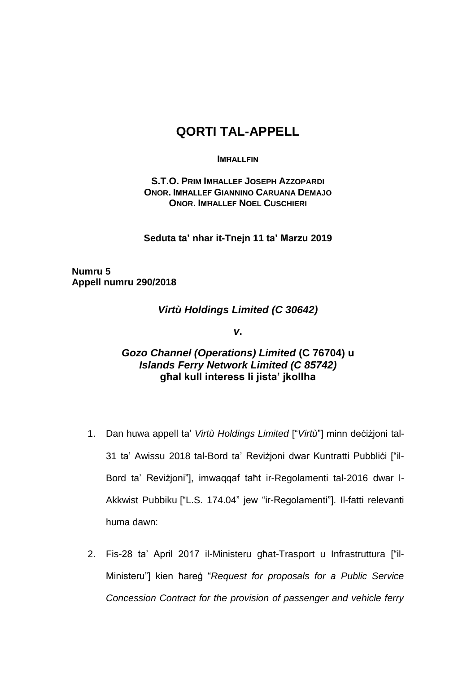## **QORTI TAL-APPELL**

## **IMĦALLFIN**

**S.T.O. PRIM IMĦALLEF JOSEPH AZZOPARDI ONOR. IMĦALLEF GIANNINO CARUANA DEMAJO ONOR. IMĦALLEF NOEL CUSCHIERI** 

**Seduta ta' nhar it-Tnejn 11 ta' Marzu 2019**

**Numru 5 Appell numru 290/2018**

*Virtù Holdings Limited (C 30642)*

*v***.**

## *Gozo Channel (Operations) Limited* **(C 76704) u**  *Islands Ferry Network Limited (C 85742)*  **għal kull interess li jista' jkollha**

- 1. Dan huwa appell ta' *Virtù Holdings Limited* ["*Virtù*"] minn deċiżjoni tal-31 ta' Awissu 2018 tal-Bord ta' Revizjoni dwar Kuntratti Pubblići ["il-Bord ta' Reviżjoni"], imwaqqaf taħt ir-Regolamenti tal-2016 dwar l-Akkwist Pubbiku ["L.S. 174.04" jew "ir-Regolamenti"]. Il-fatti relevanti huma dawn:
- 2. Fis-28 ta' April 2017 il-Ministeru għat-Trasport u Infrastruttura ["il-Ministeru"] kien ħareġ "*Request for proposals for a Public Service Concession Contract for the provision of passenger and vehicle ferry*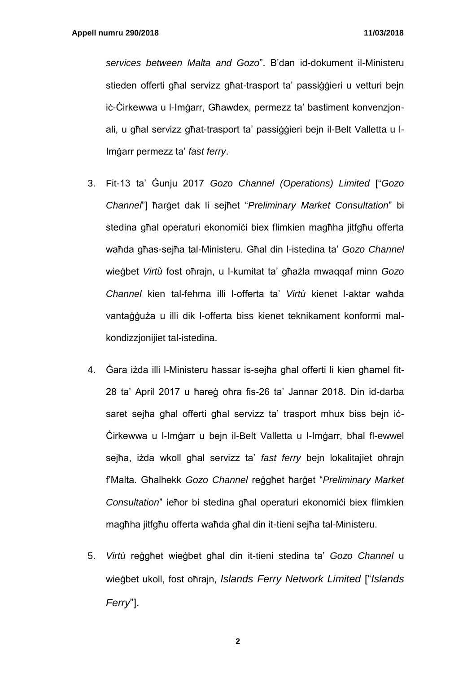*services between Malta and Gozo*". B'dan id-dokument il-Ministeru stieden offerti għal servizz għat-trasport ta' passiġġieri u vetturi bejn iċ-Ċirkewwa u l-Imġarr, Għawdex, permezz ta' bastiment konvenzjonali, u għal servizz għat-trasport ta' passiġġieri bejn il-Belt Valletta u l-Imġarr permezz ta' *fast ferry*.

- 3. Fit-13 ta' Ġunju 2017 *Gozo Channel (Operations) Limited* ["*Gozo Channel*"] ħarġet dak li sejħet "*Preliminary Market Consultation*" bi stedina għal operaturi ekonomiċi biex flimkien magħha jitfgħu offerta waħda għas-sejħa tal-Ministeru. Għal din l-istedina ta' *Gozo Channel* wieġbet *Virtù* fost oħrajn, u l-kumitat ta' għażla mwaqqaf minn *Gozo Channel* kien tal-fehma illi l-offerta ta' *Virtù* kienet l-aktar waħda vantaġġuża u illi dik l-offerta biss kienet teknikament konformi malkondizzjonijiet tal-istedina.
- 4. Ġara iżda illi l-Ministeru ħassar is-sejħa għal offerti li kien għamel fit-28 ta' April 2017 u ħareġ oħra fis-26 ta' Jannar 2018. Din id-darba saret sejħa għal offerti għal servizz ta' trasport mhux biss bejn iċ-Ċirkewwa u l-Imġarr u bejn il-Belt Valletta u l-Imġarr, bħal fl-ewwel sejħa, iżda wkoll għal servizz ta' *fast ferry* bejn lokalitajiet oħrajn f'Malta. Għalhekk *Gozo Channel* reġgħet ħarġet "*Preliminary Market*  Consultation" ieħor bi stedina għal operaturi ekonomiċi biex flimkien magħha jitfgħu offerta waħda għal din it-tieni sejħa tal-Ministeru.
- 5. *Virtù* reġgħet wieġbet għal din it-tieni stedina ta' *Gozo Channel* u wieġbet ukoll, fost oħrajn, *Islands Ferry Network Limited* ["*Islands Ferry*"].

**2**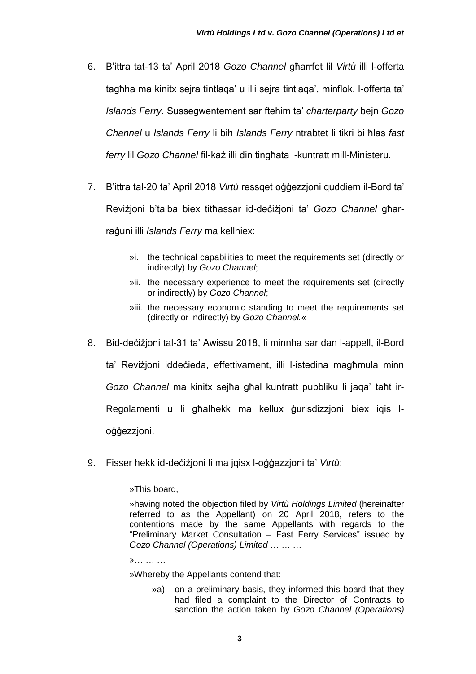- 6. B'ittra tat-13 ta' April 2018 *Gozo Channel* għarrfet lil *Virtù* illi l-offerta tagħha ma kinitx sejra tintlaqa' u illi sejra tintlaqa', minflok, l-offerta ta' *Islands Ferry*. Sussegwentement sar ftehim ta' *charterparty* bejn *Gozo Channel* u *Islands Ferry* li bih *Islands Ferry* ntrabtet li tikri bi ħlas *fast ferry* lil *Gozo Channel* fil-każ illi din tingħata l-kuntratt mill-Ministeru.
- 7. B'ittra tal-20 ta' April 2018 *Virtù* ressqet oġġezzjoni quddiem il-Bord ta' Reviżjoni b'talba biex titħassar id-deċiżjoni ta' *Gozo Channel* għarraġuni illi *Islands Ferry* ma kellhiex:
	- »i. the technical capabilities to meet the requirements set (directly or indirectly) by *Gozo Channel*;
	- »ii. the necessary experience to meet the requirements set (directly or indirectly) by *Gozo Channel*;
	- »iii. the necessary economic standing to meet the requirements set (directly or indirectly) by *Gozo Channel.*«
- 8. Bid-deċiżjoni tal-31 ta' Awissu 2018, li minnha sar dan l-appell, il-Bord ta' Reviżjoni iddeċieda, effettivament, illi l-istedina magħmula minn *Gozo Channel* ma kinitx sejħa għal kuntratt pubbliku li jaqa' taħt ir-Regolamenti u li għalhekk ma kellux ġurisdizzjoni biex iqis loġġezzjoni.
- 9. Fisser hekk id-deċiżjoni li ma jqisx l-oġġezzjoni ta' *Virtù*:

»This board,

»having noted the objection filed by *Virtù Holdings Limited* (hereinafter referred to as the Appellant) on 20 April 2018, refers to the contentions made by the same Appellants with regards to the "Preliminary Market Consultation – Fast Ferry Services" issued by *Gozo Channel (Operations) Limited* … … …

»… … …

»Whereby the Appellants contend that:

»a) on a preliminary basis, they informed this board that they had filed a complaint to the Director of Contracts to sanction the action taken by *Gozo Channel (Operations)*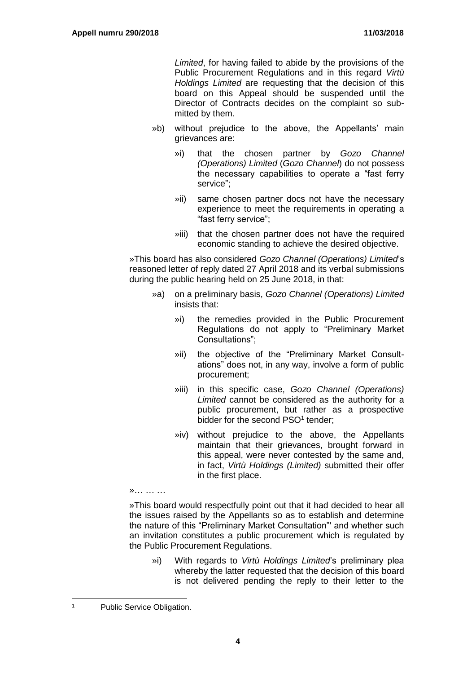*Limited*, for having failed to abide by the provisions of the Public Procurement Regulations and in this regard *Virtù Holdings Limited* are requesting that the decision of this board on this Appeal should be suspended until the Director of Contracts decides on the complaint so submitted by them.

- »b) without prejudice to the above, the Appellants' main grievances are:
	- »i) that the chosen partner by *Gozo Channel (Operations) Limited* (*Gozo Channel*) do not possess the necessary capabilities to operate a "fast ferry service";
	- »ii) same chosen partner docs not have the necessary experience to meet the requirements in operating a "fast ferry service";
	- »iii) that the chosen partner does not have the required economic standing to achieve the desired objective.

»This board has also considered *Gozo Channel (Operations) Limited*'s reasoned letter of reply dated 27 April 2018 and its verbal submissions during the public hearing held on 25 June 2018, in that:

- »a) on a preliminary basis, *Gozo Channel (Operations) Limited* insists that:
	- »i) the remedies provided in the Public Procurement Regulations do not apply to "Preliminary Market Consultations";
	- »ii) the objective of the "Preliminary Market Consultations" does not, in any way, involve a form of public procurement;
	- »iii) in this specific case, *Gozo Channel (Operations) Limited* cannot be considered as the authority for a public procurement, but rather as a prospective bidder for the second PSO<sup>1</sup> tender;
	- »iv) without prejudice to the above, the Appellants maintain that their grievances, brought forward in this appeal, were never contested by the same and, in fact, *Virtù Holdings (Limited)* submitted their offer in the first place.

»This board would respectfully point out that it had decided to hear all the issues raised by the Appellants so as to establish and determine the nature of this "Preliminary Market Consultation"' and whether such an invitation constitutes a public procurement which is regulated by the Public Procurement Regulations.

»i) With regards to *Virtù Holdings Limited*'s preliminary plea whereby the latter requested that the decision of this board is not delivered pending the reply to their letter to the

l

»… … …

<sup>1</sup> Public Service Obligation.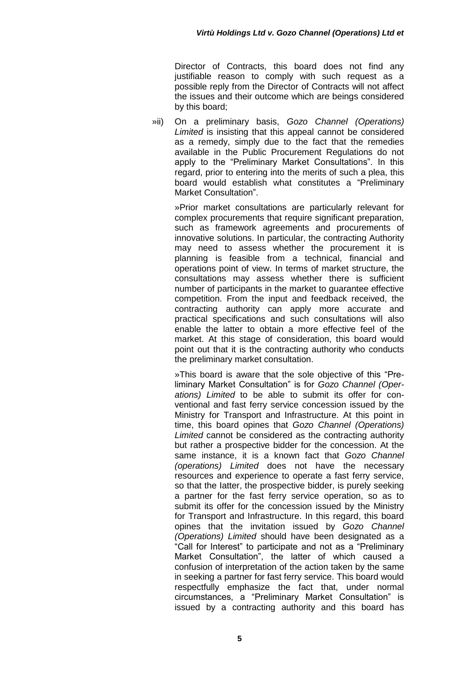Director of Contracts, this board does not find any justifiable reason to comply with such request as a possible reply from the Director of Contracts will not affect the issues and their outcome which are beings considered by this board;

»ii) On a preliminary basis, *Gozo Channel (Operations) Limited* is insisting that this appeal cannot be considered as a remedy, simply due to the fact that the remedies available in the Public Procurement Regulations do not apply to the "Preliminary Market Consultations". In this regard, prior to entering into the merits of such a plea, this board would establish what constitutes a "Preliminary Market Consultation".

»Prior market consultations are particularly relevant for complex procurements that require significant preparation, such as framework agreements and procurements of innovative solutions. In particular, the contracting Authority may need to assess whether the procurement it is planning is feasible from a technical, financial and operations point of view. In terms of market structure, the consultations may assess whether there is sufficient number of participants in the market to guarantee effective competition. From the input and feedback received, the contracting authority can apply more accurate and practical specifications and such consultations will also enable the latter to obtain a more effective feel of the market. At this stage of consideration, this board would point out that it is the contracting authority who conducts the preliminary market consultation.

»This board is aware that the sole objective of this "Preliminary Market Consultation" is for *Gozo Channel (Operations) Limited* to be able to submit its offer for conventional and fast ferry service concession issued by the Ministry for Transport and Infrastructure. At this point in time, this board opines that *Gozo Channel (Operations) Limited* cannot be considered as the contracting authority but rather a prospective bidder for the concession. At the same instance, it is a known fact that *Gozo Channel (operations) Limited* does not have the necessary resources and experience to operate a fast ferry service, so that the Iatter, the prospective bidder, is purely seeking a partner for the fast ferry service operation, so as to submit its offer for the concession issued by the Ministry for Transport and Infrastructure. In this regard, this board opines that the invitation issued by *Gozo Channel (Operations) Limited* should have been designated as a "Call for Interest" to participate and not as a "Preliminary Market Consultation", the latter of which caused a confusion of interpretation of the action taken by the same in seeking a partner for fast ferry service. This board would respectfully emphasize the fact that, under normal circumstances, a "Preliminary Market Consultation" is issued by a contracting authority and this board has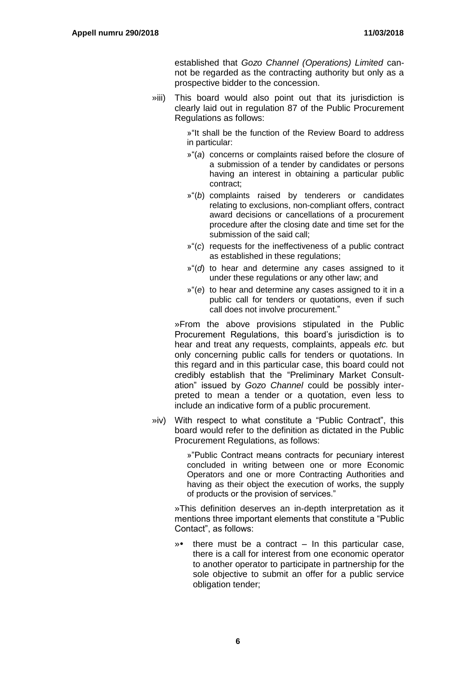established that *Gozo Channel (Operations) Limited* cannot be regarded as the contracting authority but only as a prospective bidder to the concession.

»iii) This board would also point out that its jurisdiction is clearly laid out in regulation 87 of the Public Procurement Regulations as follows:

> »"It shall be the function of the Review Board to address in particular:

- »"(*a*) concerns or complaints raised before the closure of a submission of a tender by candidates or persons having an interest in obtaining a particular public contract;
- »"(*b*) complaints raised by tenderers or candidates relating to exclusions, non-compliant offers, contract award decisions or cancellations of a procurement procedure after the closing date and time set for the submission of the said call;
- »"(*c*) requests for the ineffectiveness of a public contract as established in these regulations;
- »"(*d*) to hear and determine any cases assigned to it under these regulations or any other law; and
- »"(*e*) to hear and determine any cases assigned to it in a public call for tenders or quotations, even if such call does not involve procurement."

»From the above provisions stipulated in the Public Procurement Regulations, this board's jurisdiction is to hear and treat any requests, complaints, appeals *etc.* but only concerning public calls for tenders or quotations. In this regard and in this particular case, this board could not credibly establish that the "Preliminary Market Consultation" issued by *Gozo Channel* could be possibly interpreted to mean a tender or a quotation, even less to include an indicative form of a public procurement.

»iv) With respect to what constitute a "Public Contract", this board would refer to the definition as dictated in the Public Procurement Regulations, as follows:

> »"Public Contract means contracts for pecuniary interest concluded in writing between one or more Economic Operators and one or more Contracting Authorities and having as their object the execution of works, the supply of products or the provision of services."

»This definition deserves an in-depth interpretation as it mentions three important elements that constitute a "Public Contact", as follows:

» there must be a contract – In this particular case, there is a call for interest from one economic operator to another operator to participate in partnership for the sole objective to submit an offer for a public service obligation tender;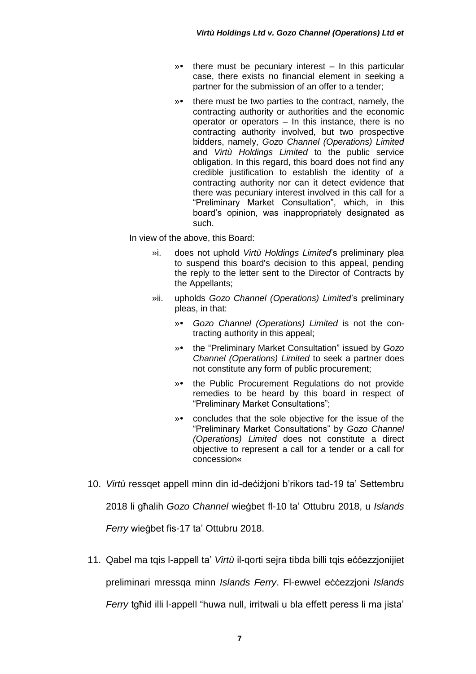- » there must be pecuniary interest In this particular case, there exists no financial element in seeking a partner for the submission of an offer to a tender;
- » there must be two parties to the contract, namely, the contracting authority or authorities and the economic operator or operators – In this instance, there is no contracting authority involved, but two prospective bidders, namely, *Gozo Channel (Operations) Limited*  and *Virtù Holdings Limited* to the public service obligation. In this regard, this board does not find any credible justification to establish the identity of a contracting authority nor can it detect evidence that there was pecuniary interest involved in this call for a "Preliminary Market Consultation", which, in this board's opinion, was inappropriately designated as such.

In view of the above, this Board:

- »i. does not uphold *Virtù Holdings Limited*'s preliminary plea to suspend this board's decision to this appeal, pending the reply to the letter sent to the Director of Contracts by the Appellants;
- »ii. upholds *Gozo Channel (Operations) Limited*'s preliminary pleas, in that:
	- » *Gozo Channel (Operations) Limited* is not the contracting authority in this appeal;
	- » the "Preliminary Market Consultation" issued by *Gozo Channel (Operations) Limited* to seek a partner does not constitute any form of public procurement;
	- » the Public Procurement Regulations do not provide remedies to be heard by this board in respect of "Preliminary Market Consultations";
	- » concludes that the sole objective for the issue of the "Preliminary Market Consultations" by *Gozo Channel (Operations) Limited* does not constitute a direct objective to represent a call for a tender or a call for concession«
- 10. *Virtù* ressqet appell minn din id-deċiżjoni b'rikors tad-19 ta' Settembru 2018 li għalih *Gozo Channel* wieġbet fl-10 ta' Ottubru 2018, u *Islands Ferry* wieġbet fis-17 ta' Ottubru 2018.
- 11. Qabel ma tqis l-appell ta' *Virtù* il-qorti sejra tibda billi tqis eċċezzjonijiet preliminari mressqa minn *Islands Ferry*. Fl-ewwel eċċezzjoni *Islands Ferry* taħid illi l-appell "huwa null, irritwali u bla effett peress li ma iista"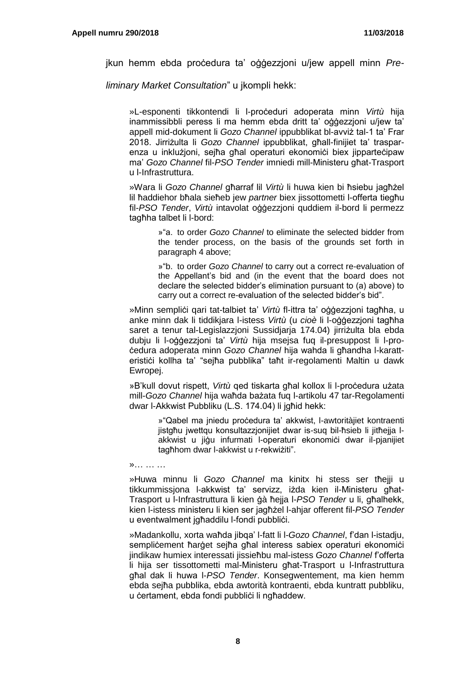jkun hemm ebda proċedura ta' oġġezzjoni u/jew appell minn *Pre-*

*liminary Market Consultation*" u jkompli hekk:

»L-esponenti tikkontendi li l-proċeduri adoperata minn *Virtù* hija inammissibbli peress li ma hemm ebda dritt ta' oġġezzjoni u/jew ta' appell mid-dokument li *Gozo Channel* ippubblikat bl-avviż tal-1 ta' Frar 2018. Jirriżulta li *Gozo Channel* ippubblikat, għall-finijiet ta' trasparenza u inklużjoni, sejħa għal operaturi ekonomiċi biex jipparteċipaw ma' *Gozo Channel* fil-*PSO Tender* imniedi mill-Ministeru għat-Trasport u l-Infrastruttura.

»Wara li *Gozo Channel* għarraf lil *Virtù* li huwa kien bi ħsiebu jagħżel lil ħaddiehor bħala sieħeb jew *partner* biex jissottometti l-offerta tiegħu fil-*PSO Tender*, *Virtù* intavolat oġġezzjoni quddiem il-bord li permezz tagħha talbet li l-bord:

> »"a. to order *Gozo Channel* to eliminate the selected bidder from the tender process, on the basis of the grounds set forth in paragraph 4 above;

> »"b. to order *Gozo Channel* to carry out a correct re-evaluation of the Appellant's bid and (in the event that the board does not declare the selected bidder's elimination pursuant to (a) above) to carry out a correct re-evaluation of the selected bidder's bid".

»Minn sempliċi qari tat-talbiet ta' *Virtù* fl-ittra ta' oġġezzjoni tagħha, u anke minn dak li tiddikjara l-istess *Virtù* (u *cioè* li l-oġġezzjoni tagħha saret a tenur tal-Legislazzjoni Sussidjarja 174.04) jirriżulta bla ebda dubju li l-oġġezzjoni ta' *Virtù* hija msejsa fuq il-presuppost li l-proċedura adoperata minn *Gozo Channel* hija wahda li għandha l-karatteristići kollha ta' "sejħa pubblika" taħt ir-regolamenti Maltin u dawk Ewropej.

»B'kull dovut rispett, Virtù ged tiskarta għal kollox li l-procedura użata mill-*Gozo Channel* hija waħda bażata fuq l-artikolu 47 tar-Regolamenti dwar l-Akkwist Pubbliku (L.S. 174.04) li jgħid hekk:

> »"Qabel ma jniedu proċedura ta' akkwist, l-awtoritàjiet kontraenti jistgħu jwettqu konsultazzjonijiet dwar is-suq bil-ħsieb li jitħejja lakkwist u jiğu infurmati l-operaturi ekonomici dwar il-pjanijiet tagħhom dwar l-akkwist u r-rekwiżiti".

»… … …

»Huwa minnu li *Gozo Channel* ma kinitx hi stess ser tħejji u tikkummissjona l-akkwist ta' servizz, iżda kien il-Ministeru għat-Trasport u l-Infrastruttura li kien ġà ħejja l-*PSO Tender* u li, għalhekk, kien l-istess ministeru li kien ser jagħżel l-ahjar offerent fil-*PSO Tender* u eventwalment jgħaddilu l-fondi pubbliċi.

»Madankollu, xorta waħda jibqa' l-fatt li l-*Gozo Channel*, f'dan l-istadju, sempliċement ħarġet sejħa għal interess sabiex operaturi ekonomiċi jindikaw humiex interessati jissieħbu mal-istess *Gozo Channel* f'offerta li hija ser tissottometti mal-Ministeru għat-Trasport u l-Infrastruttura għal dak li huwa l-*PSO Tender*. Konsegwentement, ma kien hemm ebda sejħa pubblika, ebda awtorità kontraenti, ebda kuntratt pubbliku, u certament, ebda fondi pubblici li ngħaddew.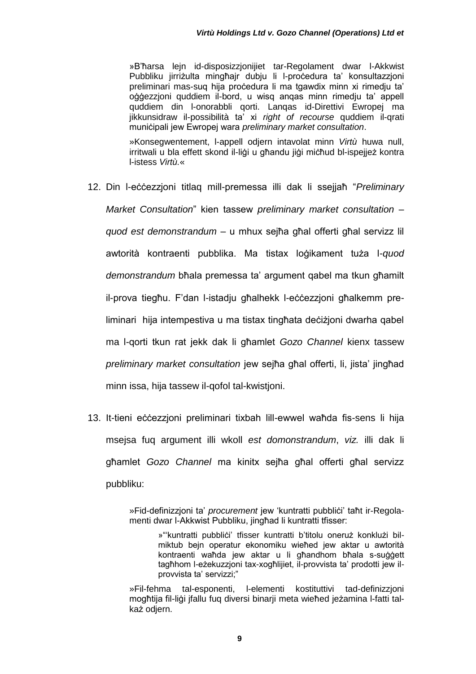»B'ħarsa lejn id-disposizzjonijiet tar-Regolament dwar l-Akkwist Pubbliku jirriżulta mingħajr dubju li l-procedura ta' konsultazzjoni preliminari mas-suq hija proċedura li ma tgawdix minn xi rimedju ta' oġġezzjoni quddiem il-bord, u wisq anqas minn rimedju ta' appell quddiem din l-onorabbli qorti. Lanqas id-Direttivi Ewropej ma jikkunsidraw il-possibilità ta' xi *right of recourse* quddiem il-qrati muniċipali jew Ewropej wara *preliminary market consultation*.

»Konsegwentement, l-appell odjern intavolat minn *Virtù* huwa null, irritwali u bla effett skond il-liġi u għandu jiġi miċħud bl-ispejjeż kontra l-istess *Virtù.*«

- 12. Din l-eċċezzjoni titlaq mill-premessa illi dak li ssejjaħ "*Preliminary Market Consultation*" kien tassew *preliminary market consultation* – *quod est demonstrandum* – u mhux sejħa għal offerti għal servizz lil awtorità kontraenti pubblika. Ma tistax loġikament tuża l-*quod demonstrandum* bħala premessa ta' argument qabel ma tkun għamilt il-prova tiegħu. F'dan l-istadju għalhekk l-eċċezzjoni għalkemm preliminari hija intempestiva u ma tistax tingħata deċiżjoni dwarha qabel ma l-qorti tkun rat jekk dak li għamlet *Gozo Channel* kienx tassew *preliminary market consultation* jew sejħa għal offerti, li, jista' jingħad minn issa, hija tassew il-qofol tal-kwistjoni.
- 13. It-tieni eċċezzjoni preliminari tixbah lill-ewwel waħda fis-sens li hija msejsa fuq argument illi wkoll *est domonstrandum*, *viz.* illi dak li għamlet *Gozo Channel* ma kinitx sejħa għal offerti għal servizz pubbliku:

»Fid-definizzjoni ta' *procurement* jew 'kuntratti pubbliċi' taħt ir-Regolamenti dwar l-Akkwist Pubbliku, jingħad li kuntratti tfisser:

> »"'kuntratti pubbliċi' tfisser kuntratti b'titolu oneruż konklużi bilmiktub bejn operatur ekonomiku wieħed jew aktar u awtorità kontraenti waħda jew aktar u li għandhom bħala s-suġġett tagħhom l-eżekuzzjoni tax-xogħlijiet, il-provvista ta' prodotti jew ilprovvista ta' servizzi;"

»Fil-fehma tal-esponenti, l-elementi kostituttivi tad-definizzjoni mogħtija fil-liġi jfallu fuq diversi binarji meta wieħed jeżamina l-fatti talkaż odjern.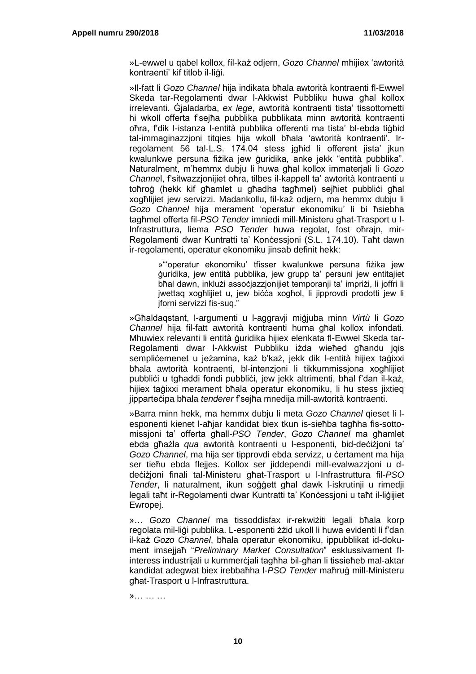»L-ewwel u qabel kollox, fil-każ odjern, *Gozo Channel* mhijiex 'awtorità kontraenti' kif titlob il-liġi.

»Il-fatt li *Gozo Channel* hija indikata bħala awtorità kontraenti fl-Ewwel Skeda tar-Regolamenti dwar l-Akkwist Pubbliku huwa għal kollox irrelevanti. Ġjaladarba, *ex lege*, awtorità kontraenti tista' tissottometti hi wkoll offerta f'sejħa pubblika pubblikata minn awtorità kontraenti oħra, f'dik l-istanza l-entità pubblika offerenti ma tista' bl-ebda tiġbid tal-immaginazzjoni titqies hija wkoll bħala 'awtorità kontraenti'. Irregolament 56 tal-L.S. 174.04 stess jgħid li offerent jista' jkun kwalunkwe persuna fiżika jew ġuridika, anke jekk "entità pubblika". Naturalment, m'hemmx dubju li huwa għal kollox immaterjali li *Gozo Channe*l, f'sitwazzjonijiet oħra, tilbes il-kappell ta' awtorità kontraenti u toħroġ (hekk kif għamlet u għadha tagħmel) sejħiet pubbliċi għal xogħlijiet jew servizzi. Madankollu, fil-każ odjern, ma hemmx dubju li *Gozo Channel* hija merament 'operatur ekonomiku' li bi ħsiebha tagħmel offerta fil-*PSO Tender* imniedi mill-Ministeru għat-Trasport u l-Infrastruttura, liema *PSO Tender* huwa regolat, fost oħrajn, mir-Regolamenti dwar Kuntratti ta' Konċessjoni (S.L. 174.10). Taħt dawn ir-regolamenti, operatur ekonomiku jinsab definit hekk:

> »"'operatur ekonomiku' tfisser kwalunkwe persuna fiżika jew ġuridika, jew entità pubblika, jew grupp ta' persuni jew entitajiet bħal dawn, inklużi assoċjazzjonijiet temporanji ta' impriżi, li joffri li jwettaq xogħlijiet u, jew biċċa xogħol, li jipprovdi prodotti jew li jforni servizzi fis-suq."

»Għaldaqstant, l-argumenti u l-aggravji miġjuba minn *Virtù* li *Gozo Channel* hija fil-fatt awtorità kontraenti huma għal kollox infondati. Mhuwiex relevanti li entità ġuridika hijiex elenkata fl-Ewwel Skeda tar-Regolamenti dwar l-Akkwist Pubbliku iżda wieħed għandu jqis sempliċemenet u jeżamina, każ b'każ, jekk dik l-entità hijiex taġixxi bħala awtorità kontraenti, bl-intenzjoni li tikkummissjona xogħlijiet pubblići u tgħaddi fondi pubblići, jew jekk altrimenti, bħal f'dan il-każ, hijiex taġixxi merament bħala operatur ekonomiku, li hu stess jixtieq jipparteċipa bħala *tenderer* f'sejħa mnedija mill-awtorità kontraenti.

»Barra minn hekk, ma hemmx dubju li meta *Gozo Channel* qieset li lesponenti kienet l-aħjar kandidat biex tkun is-sieħba tagħha fis-sottomissjoni ta' offerta għall-*PSO Tender*, *Gozo Channel* ma għamlet ebda għażla *qua* awtorità kontraenti u l-esponenti, bid-deċiżjoni ta' *Gozo Channel*, ma hija ser tipprovdi ebda servizz, u ċertament ma hija ser tieħu ebda flejjes. Kollox ser jiddependi mill-evalwazzjoni u ddeċiżjoni finali tal-Ministeru għat-Trasport u l-Infrastruttura fil-*PSO Tender*, li naturalment, ikun soġġett għal dawk l-iskrutinji u rimedji legali taħt ir-Regolamenti dwar Kuntratti ta' Konċessjoni u taħt il-liġijiet Ewropej.

»… *Gozo Channel* ma tissoddisfax ir-rekwiżiti legali bħala korp regolata mil-liġi pubblika. L-esponenti żżid ukoll li huwa evidenti li f'dan il-każ *Gozo Channel*, bħala operatur ekonomiku, ippubblikat id-dokument imsejjaħ "*Preliminary Market Consultation*" esklussivament flinteress industrijali u kummerċjali tagħha bil-għan li tissieħeb mal-aktar kandidat adegwat biex irebbaħha l-*PSO Tender* maħruġ mill-Ministeru għat-Trasport u l-Infrastruttura.

»… … …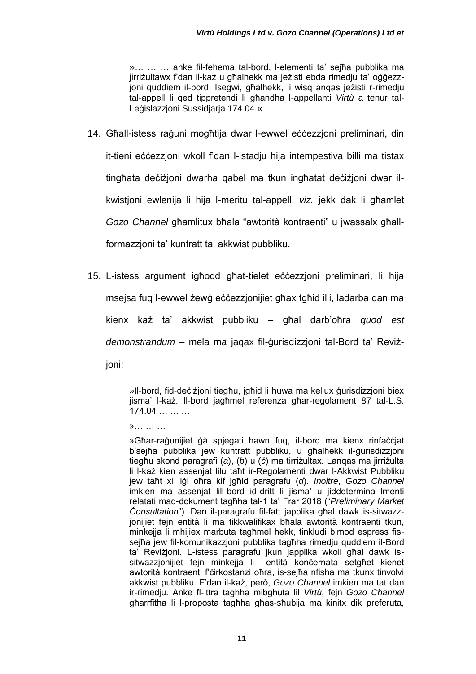»… … … anke fil-fehema tal-bord, l-elementi ta' sejħa pubblika ma jirriżultawx f'dan il-każ u għalhekk ma jeżisti ebda rimedju ta' oġġezzjoni quddiem il-bord. Isegwi, għalhekk, li wisq anqas jeżisti r-rimedju tal-appell li qed tippretendi li għandha l-appellanti *Virtù* a tenur tal-Legislazzioni Sussidiaria 174.04.«

- 14. Għall-istess raġuni mogħtija dwar l-ewwel eċċezzjoni preliminari, din it-tieni eċċezzjoni wkoll f'dan l-istadju hija intempestiva billi ma tistax tingħata deċiżjoni dwarha qabel ma tkun ingħatat deċiżjoni dwar ilkwistjoni ewlenija li hija l-meritu tal-appell, *viz.* jekk dak li għamlet *Gozo Channel* għamlitux bħala "awtorità kontraenti" u jwassalx għallformazzjoni ta' kuntratt ta' akkwist pubbliku.
- 15. L-istess argument igħodd għat-tielet eċċezzjoni preliminari, li hija msejsa fuq l-ewwel żewġ eċċezzjonijiet għax tgħid illi, ladarba dan ma kienx każ ta' akkwist pubbliku – għal darb'oħra *quod est demonstrandum* – mela ma jaqax fil-ġurisdizzjoni tal-Bord ta' Reviżjoni:

»Il-bord, fid-deċiżjoni tiegħu, jgħid li huwa ma kellux ġurisdizzjoni biex jisma' l-każ. Il-bord jagħmel referenza għar-regolament 87 tal-L.S.  $174.04...$  …

»… … …

»Għar-raġunijiet ġà spjegati hawn fuq, il-bord ma kienx rinfaċċjat b'sejħa pubblika jew kuntratt pubbliku, u għalhekk il-ġurisdizzjoni tiegħu skond paragrafi (*a*), (*b*) u (*ċ*) ma tirriżultax. Lanqas ma jirriżulta li l-każ kien assenjat lilu taħt ir-Regolamenti dwar l-Akkwist Pubbliku jew taħt xi liġi oħra kif jgħid paragrafu (*d*). *Inoltre*, *Gozo Channel* imkien ma assenjat lill-bord id-dritt li jisma' u jiddetermina lmenti relatati mad-dokument tagħha tal-1 ta' Frar 2018 ("*Preliminary Market Ċonsultation*"). Dan il-paragrafu fil-fatt japplika għal dawk is-sitwazzjonijiet fejn entità li ma tikkwalifikax bħala awtorità kontraenti tkun, minkejia li mhijiex marbuta tagħmel hekk, tinkludi b'mod espress fissejħa jew fil-komunikazzjoni pubblika tagħha rimedju quddiem il-Bord ta' Reviżjoni. L-istess paragrafu jkun japplika wkoll għal dawk issitwazzjonijiet fejn minkejja li l-entità konċernata setgħet kienet awtorità kontraenti f'ċirkostanzi oħra, is-sejħa nfisha ma tkunx tinvolvi akkwist pubbliku. F'dan il-każ, però, *Gozo Channel* imkien ma tat dan ir-rimedju. Anke fl-ittra tagħha mibgħuta lil *Virtù*, fejn *Gozo Channel* għarrfitha li l-proposta tagħha għas-sħubija ma kinitx dik preferuta,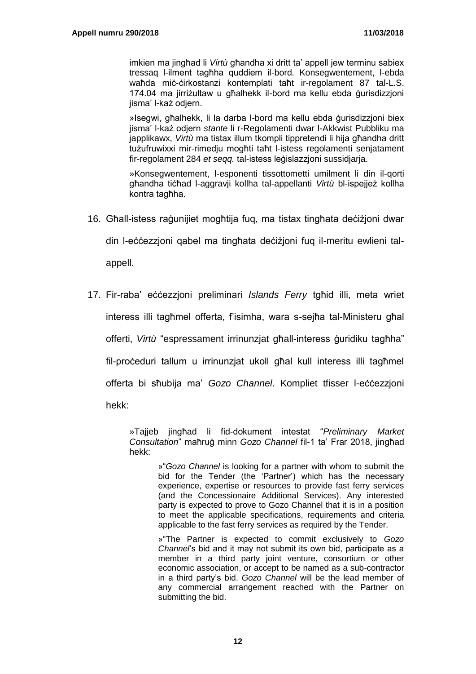imkien ma jingħad li *Virtù* għandha xi dritt ta' appell jew terminu sabiex tressaq l-ilment tagħha quddiem il-bord. Konsegwentement, l-ebda waħda miċ-ċirkostanzi kontemplati taħt ir-regolament 87 tal-L.S. 174.04 ma jirriżultaw u għalhekk il-bord ma kellu ebda ġurisdizzjoni jisma' l-każ odjern.

»Isegwi, għalhekk, li la darba l-bord ma kellu ebda ġurisdizzjoni biex jisma' l-każ odjern *stante* li r-Regolamenti dwar l-Akkwist Pubbliku ma japplikawx, *Virtù* ma tistax illum tkompli tippretendi li hija għandha dritt tużufruwixxi mir-rimedju mogħti taħt l-istess regolamenti senjatament fir-regolament 284 *et seqq.* tal-istess leġislazzjoni sussidjarja.

»Konsegwentement, l-esponenti tissottometti umilment li din il-qorti għandha tiċħad l-aggravji kollha tal-appellanti *Virtù* bl-ispejjeż kollha kontra tagħha.

16. Għall-istess raġunijiet mogħtija fuq, ma tistax tingħata deċiżjoni dwar

din l-eċċezzjoni qabel ma tingħata deċiżjoni fuq il-meritu ewlieni tal-

appell.

17. Fir-raba' eċċezzjoni preliminari *Islands Ferry* tgħid illi, meta wriet interess illi tagħmel offerta, f'isimha, wara s-sejħa tal-Ministeru għal offerti, *Virtù* "espressament irrinunzjat għall-interess ġuridiku tagħha" fil-proceduri tallum u irrinunzjat ukoll għal kull interess illi tagħmel offerta bi sħubija ma' *Gozo Channel*. Kompliet tfisser l-eċċezzjoni hekk:

> »Tajjeb jingħad li fid-dokument intestat "*Preliminary Market Consultation*" maħruġ minn *Gozo Channel* fil-1 ta' Frar 2018, jingħad hekk:

> > »"*Gozo Channel* is looking for a partner with whom to submit the bid for the Tender (the 'Partner') which has the necessary experience, expertise or resources to provide fast ferry services (and the Concessionaire Additional Services). Any interested party is expected to prove to Gozo Channel that it is in a position to meet the applicable specifications, requirements and criteria applicable to the fast ferry services as required by the Tender.

> > »"The Partner is expected to commit exclusively to *Gozo Channel*'s bid and it may not submit its own bid, participate as a member in a third party joint venture, consortium or other economic association, or accept to be named as a sub-contractor in a third party's bid. *Gozo Channel* will be the lead member of any commercial arrangement reached with the Partner on submitting the bid.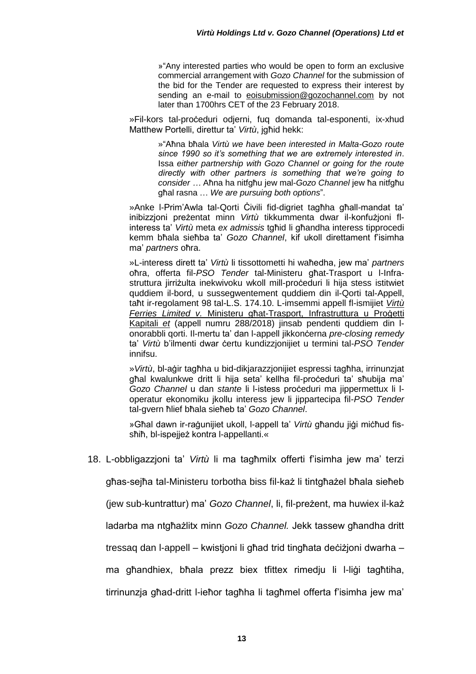»"Any interested parties who would be open to form an exclusive commercial arrangement with *Gozo Channel* for the submission of the bid for the Tender are requested to express their interest by sending an e-mail to eoisubmission@gozochannel.com by not later than 1700hrs CET of the 23 February 2018.

»Fil-kors tal-proċeduri odjerni, fuq domanda tal-esponenti, ix-xhud Matthew Portelli, direttur ta' *Virtù*, jgħid hekk:

> »"Aħna bħala *Virtù we have been interested in Malta-Gozo route since 1990 so it's something that we are extremely interested in*. Issa *either partnership with Gozo Channel or going for the route directly with other partners is something that we're going to consider …* Aħna ha nitfgħu jew mal-*Gozo Channel* jew ħa nitfgħu għal rasna … *We are pursuing both options*".

»Anke l-Prim'Awla tal-Qorti Ċivili fid-digriet tagħha għall-mandat ta' inibizzjoni preżentat minn *Virtù* tikkummenta dwar il-konfużjoni flinteress ta' *Virtù* meta *ex admissis* tgħid li għandha interess tipprocedi kemm bħala sieħba ta' *Gozo Channel*, kif ukoll direttament f'isimha ma' *partners* oħra.

»L-interess dirett ta' *Virtù* li tissottometti hi waħedha, jew ma' *partners* oħra, offerta fil-*PSO Tender* tal-Ministeru għat-Trasport u l-Infrastruttura jirriżulta inekwivoku wkoll mill-proceduri li hija stess istitwiet quddiem il-bord, u sussegwentement quddiem din il-Qorti tal-Appell, taħt ir-regolament 98 tal-L.S. 174.10. L-imsemmi appell fl-ismijiet *Virtù Ferries Limited v.* Ministeru għat-Trasport, Infrastruttura u Proġetti Kapitali *et* (appell numru 288/2018) jinsab pendenti quddiem din lonorabbli qorti. Il-mertu ta' dan l-appell jikkonċerna *pre-closing remedy* ta' *Virtù* b'ilmenti dwar ċertu kundizzjonijiet u termini tal-*PSO Tender* innifsu.

»*Virtù*, bl-aġir tagħha u bid-dikjarazzjonijiet espressi tagħha, irrinunzjat għal kwalunkwe dritt li hija seta' kellha fil-proceduri ta' sħubija ma' *Gozo Channel* u dan *stante* li l-istess proċeduri ma jippermettux li loperatur ekonomiku jkollu interess jew li jippartecipa fil-*PSO Tender* tal-gvern ħlief bħala sieħeb ta' *Gozo Channel*.

»Għal dawn ir-raġunijiet ukoll, l-appell ta' *Virtù* għandu jiġi miċħud fissħiħ, bl-ispejjeż kontra l-appellanti.«

18. L-obbligazzjoni ta' *Virtù* li ma tagħmilx offerti f'isimha jew ma' terzi

għas-sejħa tal-Ministeru torbotha biss fil-każ li tintgħażel bħala sieħeb

(jew sub-kuntrattur) ma' *Gozo Channel*, li, fil-preżent, ma huwiex il-każ

ladarba ma ntgħażlitx minn *Gozo Channel.* Jekk tassew għandha dritt

tressaq dan l-appell – kwistjoni li għad trid tingħata deċiżjoni dwarha –

ma għandhiex, bħala prezz biex tfittex rimedju li l-liġi tagħtiha,

tirrinunzja għad-dritt l-ieħor tagħha li tagħmel offerta f'isimha jew ma'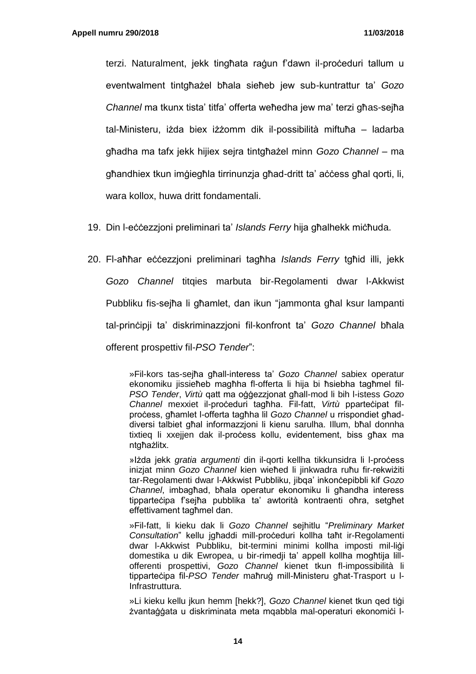terzi. Naturalment, jekk tingħata raġun f'dawn il-proċeduri tallum u eventwalment tintgħażel bħala sieħeb jew sub-kuntrattur ta' *Gozo Channel* ma tkunx tista' titfa' offerta weħedha jew ma' terzi għas-sejħa tal-Ministeru, iżda biex iżżomm dik il-possibilità miftuħa – ladarba għadha ma tafx jekk hijiex sejra tintgħażel minn *Gozo Channel* – ma għandhiex tkun imġiegħla tirrinunzja għad-dritt ta' aċċess għal qorti, li, wara kollox, huwa dritt fondamentali.

- 19. Din l-eċċezzjoni preliminari ta' *Islands Ferry* hija għalhekk miċħuda.
- 20. Fl-aħħar eċċezzjoni preliminari tagħha *Islands Ferry* tgħid illi, jekk *Gozo Channel* titqies marbuta bir-Regolamenti dwar l-Akkwist Pubbliku fis-sejħa li għamlet, dan ikun "jammonta għal ksur lampanti tal-prinċipji ta' diskriminazzjoni fil-konfront ta' *Gozo Channel* bħala offerent prospettiv fil-*PSO Tender*":

»Fil-kors tas-sejħa għall-interess ta' *Gozo Channel* sabiex operatur ekonomiku jissieħeb magħha fl-offerta li hija bi ħsiebha tagħmel fil-*PSO Tender*, *Virtù* qatt ma oġġezzjonat għall-mod li bih l-istess *Gozo Channel* mexxiet il-proċeduri tagħha. Fil-fatt, *Virtù* pparteċipat filproċess, għamlet l-offerta tagħha lil *Gozo Channel* u rrispondiet għaddiversi talbiet għal informazzjoni li kienu sarulha. Illum, bħal donnha tixtieg li xxejjen dak il-process kollu, evidentement, biss għax ma ntgħażlitx.

»Iżda jekk *gratia argumenti* din il-gorti kellha tikkunsidra li l-process inizjat minn *Gozo Channel* kien wieħed li jinkwadra ruħu fir-rekwiżiti tar-Regolamenti dwar l-Akkwist Pubbliku, jibqa' inkonċepibbli kif *Gozo Channel*, imbagħad, bħala operatur ekonomiku li għandha interess tipparteċipa f'sejħa pubblika ta' awtorità kontraenti oħra, setgħet effettivament tagħmel dan.

»Fil-fatt, li kieku dak li *Gozo Channel* sejhitlu "*Preliminary Market Consultation*" kellu jgħaddi mill-proċeduri kollha taħt ir-Regolamenti dwar I-Akkwist Pubbliku, bit-termini minimi kollha imposti mil-ligi domestika u dik Ewropea, u bir-rimedji ta' appell kollha mogħtija lillofferenti prospettivi, *Gozo Channel* kienet tkun fl-impossibilità li tipparteċipa fil-*PSO Tender* maħruġ mill-Ministeru għat-Trasport u l-Infrastruttura.

»Li kieku kellu jkun hemm [hekk?], *Gozo Channel* kienet tkun qed tiġi żvantaġġata u diskriminata meta mgabbla mal-operaturi ekonomići l-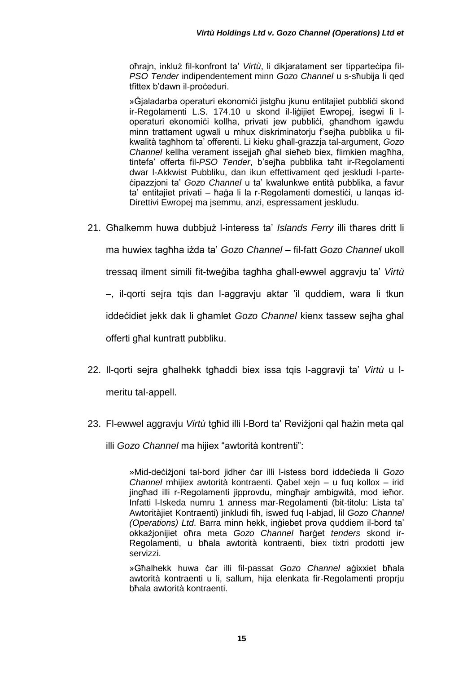oħrajn, inkluż fil-konfront ta' *Virtù*, li dikjaratament ser tipparteċipa fil-*PSO Tender* indipendentement minn *Gozo Channel* u s-sħubija li qed tfittex b'dawn il-proceduri.

» Gjaladarba operaturi ekonomiċi jistgħu jkunu entitajiet pubbliċi skond ir-Regolamenti L.S. 174.10 u skond il-liġijiet Ewropej, isegwi li loperaturi ekonomici kollha, privati jew pubblici, għandhom igawdu minn trattament ugwali u mhux diskriminatorju f'sejħa pubblika u filkwalità tagħhom ta' offerenti. Li kieku għall-grazzja tal-argument, *Gozo Channel* kellha verament issejjaħ għal sieħeb biex, flimkien magħha, tintefa' offerta fil-*PSO Tender*, b'sejħa pubblika taħt ir-Regolamenti dwar l-Akkwist Pubbliku, dan ikun effettivament qed jeskludi l-parteċipazzjoni ta' *Gozo Channel* u ta' kwalunkwe entità pubblika, a favur ta' entitajiet privati – ħaġa li la r-Regolamenti domestići, u langas id-Direttivi Ewropej ma jsemmu, anzi, espressament jeskludu.

- 21. Għalkemm huwa dubbjuż l-interess ta' *Islands Ferry* illi tħares dritt li ma huwiex tagħha iżda ta' *Gozo Channel –* fil-fatt *Gozo Channel* ukoll tressaq ilment simili fit-tweġiba tagħha għall-ewwel aggravju ta' *Virtù –*, il-qorti sejra tqis dan l-aggravju aktar 'il quddiem, wara li tkun iddeċidiet jekk dak li għamlet *Gozo Channel* kienx tassew sejħa għal offerti għal kuntratt pubbliku.
- 22. Il-qorti sejra għalhekk tgħaddi biex issa tqis l-aggravji ta' *Virtù* u lmeritu tal-appell.
- 23. Fl-ewwel aggravju *Virtù* tgħid illi l-Bord ta' Reviżjoni qal ħażin meta qal illi *Gozo Channel* ma hijiex "awtorità kontrenti":

»Mid-deċiżjoni tal-bord jidher ċar illi l-istess bord iddeċieda li *Gozo Channel* mhijiex awtorità kontraenti. Qabel xejn – u fuq kollox – irid jingħad illi r-Regolamenti jipprovdu, mingħajr ambigwità, mod ieħor. Infatti l-Iskeda numru 1 anness mar-Regolamenti (bit-titolu: Lista ta' Awtoritàjiet Kontraenti) jinkludi fih, iswed fuq l-abjad, lil *Gozo Channel (Operations) Ltd*. Barra minn hekk, inġiebet prova quddiem il-bord ta' okkażjonijiet oħra meta *Gozo Channel* ħarġet *tenders* skond ir-Regolamenti, u bħala awtorità kontraenti, biex tixtri prodotti jew servizzi.

»Għalhekk huwa ċar illi fil-passat *Gozo Channel* aġixxiet bħala awtorità kontraenti u li, sallum, hija elenkata fir-Regolamenti proprju bħala awtorità kontraenti.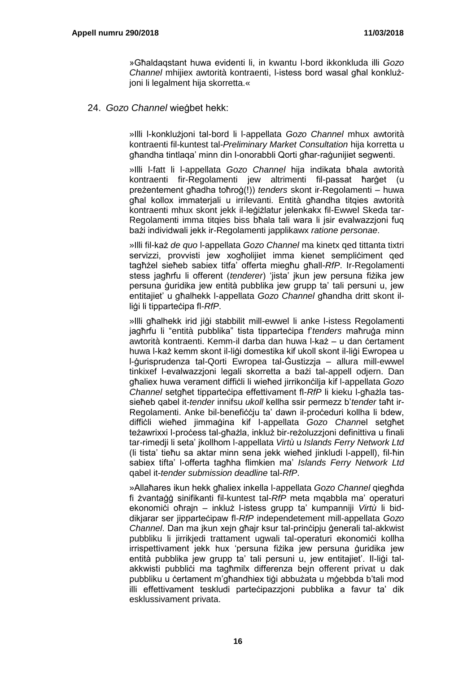»Għaldaqstant huwa evidenti li, in kwantu l-bord ikkonkluda illi *Gozo Channel* mhijiex awtorità kontraenti, l-istess bord wasal għal konklużjoni li legalment hija skorretta.«

24. *Gozo Channel* wieġbet hekk:

»Illi l-konklużjoni tal-bord li l-appellata *Gozo Channel* mhux awtorità kontraenti fil-kuntest tal-*Preliminary Market Consultation* hija korretta u għandha tintlaqa' minn din l-onorabbli Qorti għar-raġunijiet segwenti.

»Illi l-fatt li l-appellata *Gozo Channel* hija indikata bħala awtorità kontraenti fir-Regolamenti jew altrimenti fil-passat ħarġet (u preżentement għadha toħroġ(!)) *tenders* skont ir-Regolamenti – huwa għal kollox immaterjali u irrilevanti. Entità għandha titqies awtorità kontraenti mhux skont jekk il-leġiżlatur jelenkakx fil-Ewwel Skeda tar-Regolamenti imma titqies biss bħala tali wara li jsir evalwazzjoni fuq bażi individwali jekk ir-Regolamenti japplikawx *ratione personae*.

»Illi fil-każ *de quo* l-appellata *Gozo Channel* ma kinetx qed tittanta tixtri servizzi, provvisti jew xogħolijiet imma kienet sempliċiment qed tagħżel sieħeb sabiex titfa' offerta miegħu għall-*RfP*. Ir-Regolamenti stess jagħrfu li offerent (*tenderer*) 'jista' jkun jew persuna fiżika jew persuna ġuridika jew entità pubblika jew grupp ta' tali persuni u, jew entitajiet' u għalhekk l-appellata *Gozo Channel* għandha dritt skont illiġi li tipparteċipa fl-*RfP*.

»Illi għalhekk irid jiġi stabbilit mill-ewwel li anke l-istess Regolamenti jagħrfu li "entità pubblika" tista tipparteċipa f'*tenders* maħruġa minn awtorità kontraenti. Kemm-il darba dan huwa l-każ – u dan ċertament huwa l-każ kemm skont il-liġi domestika kif ukoll skont il-liġi Ewropea u l-ġurisprudenza tal-Qorti Ewropea tal-Ġustizzja – allura mill-ewwel tinkixef l-evalwazzjoni legali skorretta a bażi tal-appell odjern. Dan għaliex huwa verament diffiċli li wieħed jirrikonċilja kif l-appellata *Gozo Channel* setgħet tipparteċipa effettivament fl-*RfP* li kieku l-għażla tassieħeb qabel it-*tender* innifsu *ukoll* kellha ssir permezz b'*tender* taħt ir-Regolamenti. Anke bil-benefiċċju ta' dawn il-proċeduri kollha li bdew, diffiċli wieħed jimmaġina kif l-appellata *Gozo Chann*el setgħet teżawrixxi l-process tal-għażla, inkluż bir-reżoluzzjoni definittiva u finali tar-rimedji li seta' jkollhom l-appellata *Virtù* u *Islands Ferry Network Ltd* (li tista' tieħu sa aktar minn sena jekk wieħed jinkludi l-appell), fil-ħin sabiex tifta' l-offerta tagħha flimkien ma' *Islands Ferry Network Ltd* qabel it-*tender submission deadline* tal-*RfP*.

»Allaħares ikun hekk għaliex inkella l-appellata *Gozo Channel* qiegħda fi żvantaġġ sinifikanti fil-kuntest tal-*RfP* meta mqabbla ma' operaturi ekonomiċi oħrajn – inkluż l-istess grupp ta' kumpanniji *Virtù* li biddikjarar ser jipparteċipaw fl-*RfP* independetement mill-appellata *Gozo Channel*. Dan ma jkun xejn għajr ksur tal-prinċipju ġenerali tal-akkwist pubbliku li jirrikjedi trattament ugwali tal-operaturi ekonomići kollha irrispettivament jekk hux 'persuna fiżika jew persuna ġuridika jew entità pubblika jew grupp ta' tali persuni u, jew entitajiet'. Il-liġi talakkwisti pubblici ma tagħmilx differenza bejn offerent privat u dak pubbliku u ċertament m'għandhiex tiġi abbużata u mġebbda b'tali mod illi effettivament teskludi parteċipazzjoni pubblika a favur ta' dik esklussivament privata.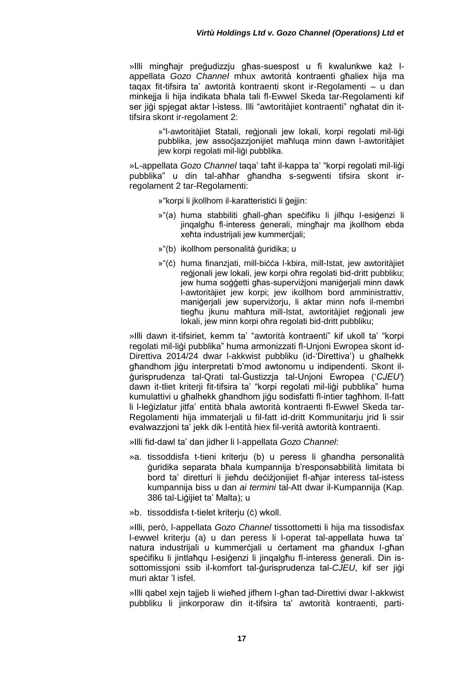»Illi mingħajr preġudizzju għas-suespost u fi kwalunkwe każ lappellata *Gozo Channel* mhux awtorità kontraenti għaliex hija ma taqax fit-tifsira ta' awtorità kontraenti skont ir-Regolamenti – u dan minkejja li hija indikata bħala tali fl-Ewwel Skeda tar-Regolamenti kif ser jiġi spjegat aktar l-istess. Illi "awtoritàjiet kontraenti" ngħatat din ittifsira skont ir-regolament 2:

> »"l-awtoritàjiet Statali, reġjonali jew lokali, korpi regolati mil-liġi pubblika, jew assoċjazzjonijiet maħluqa minn dawn l-awtoritàjiet jew korpi regolati mil-ligi pubblika.

»L-appellata *Gozo Channel* taqa' taħt il-kappa ta' "korpi regolati mil-liġi pubblika" u din tal-aħħar għandha s-segwenti tifsira skont irregolament 2 tar-Regolamenti:

»"korpi li jkollhom il-karatterističi li ģejjin:

- »"(a) huma stabbiliti għall-għan speċifiku li jilħqu l-esiġenzi li jinqalgħu fl-interess ġenerali, mingħajr ma jkollhom ebda xeħta industrijali jew kummerċjali;
- »"(b) ikollhom personalità ġuridika; u
- »"(c) huma finanzjati, mill-bicca l-kbira, mill-Istat, jew awtoritàjiet reġjonali jew lokali, jew korpi oħra regolati bid-dritt pubbliku; jew huma soġġetti għas-superviżjoni maniġerjali minn dawk l-awtoritàjiet jew korpi; jew ikollhom bord amministrattiv, maniġerjali jew superviżorju, li aktar minn nofs il-membri tiegħu jkunu maħtura mill-Istat, awtoritàjiet reġjonali jew lokali, jew minn korpi oħra regolati bid-dritt pubbliku;

»Illi dawn it-tifsiriet, kemm ta' "awtorità kontraenti" kif ukoll ta' "korpi regolati mil-liġi pubblika" huma armonizzati fl-Unjoni Ewropea skont id-Direttiva 2014/24 dwar l-akkwist pubbliku (id-'Direttiva') u għalhekk għandhom jiġu interpretati b'mod awtonomu u indipendenti. Skont ilġurisprudenza tal-Qrati tal-Ġustizzja tal-Unjoni Ewropea ('*CJEU'*) dawn it-tliet kriterji fit-tifsira ta' "korpi regolati mil-liġi pubblika" huma kumulattivi u għalhekk għandhom jiġu sodisfatti fl-intier tagħhom. Il-fatt li l-leġizlatur jitfa' entità bħala awtorità kontraenti fl-Ewwel Skeda tar-Regolamenti hija immaterjali u fil-fatt id-dritt Kommunitarju jrid li ssir evalwazzjoni ta' jekk dik l-entità hiex fil-verità awtorità kontraenti.

»Illi fid-dawl ta' dan jidher li l-appellata *Gozo Channel*:

- »a. tissoddisfa t-tieni kriterju (b) u peress li għandha personalità ġuridika separata bħala kumpannija b'responsabbilità limitata bi bord ta' diretturi li jieħdu deċiżjonijiet fl-aħjar interess tal-istess kumpannija biss u dan *ai termini* tal-Att dwar il-Kumpannija (Kap. 386 tal-Liġijiet ta' Malta); u
- »b. tissoddisfa t-tielet kriterju (ċ) wkoll.

»Illi, però, l-appellata *Gozo Channel* tissottometti li hija ma tissodisfax l-ewwel kriterju (a) u dan peress li l-operat tal-appellata huwa ta' natura industrijali u kummerciali u certament ma għandux l-għan speċifiku li jintlaħqu l-esiġenzi li jinqalgħu fl-interess ġenerali. Din issottomissjoni ssib il-komfort tal-ġurisprudenza tal-*CJEU*, kif ser jiġi muri aktar 'l isfel.

»Illi qabel xejn tajjeb li wieħed jifhem l-għan tad-Direttivi dwar l-akkwist pubbliku li jinkorporaw din it-tifsira ta' awtorità kontraenti, parti-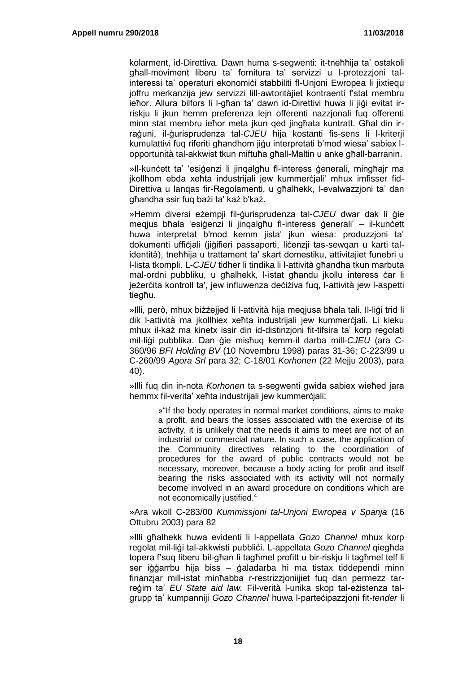kolarment, id-Direttiva. Dawn huma s-segwenti: it-tneħħija ta' ostakoli għall-moviment liberu ta' fornitura ta' servizzi u l-protezzjoni talinteressi ta' operaturi ekonomici stabbiliti fl-Unjoni Ewropea li jixtiequ joffru merkanzija jew servizzi lill-awtoritàjiet kontraenti f'stat membru ieħor. Allura bilfors li l-għan ta' dawn id-Direttivi huwa li jiġi evitat irriskju li jkun hemm preferenza lejn offerenti nazzjonali fuq offerenti minn stat membru ieħor meta jkun qed jingħata kuntratt. Għal din irraġuni, il-ġurisprudenza tal-*CJEU* hija kostanti fis-sens li l-kriterji kumulattivi fuq riferiti għandhom jiġu interpretati b'mod wiesa' sabiex lopportunità tal-akkwist tkun miftuħa għall-Maltin u anke għall-barranin.

»Il-kunċett ta' 'esiġenzi li jinqalgħu fl-interess ġenerali, mingħajr ma jkollhom ebda xeħta industrijali jew kummerċjali' mhux imfisser fid-Direttiva u lanqas fir-Regolamenti, u għalhekk, l-evalwazzjoni ta' dan għandha ssir fuq bażi ta' każ b'każ.

»Hemm diversi eżempji fil-ġurisprudenza tal-*CJEU* dwar dak li ġie meqjus bħala 'esiġenzi li jinqalgħu fl-interess ġenerali' – il-kunċett huwa interpretat b'mod kemm jista' jkun wiesa: produzzjoni ta' dokumenti uffiċjali (jiġifieri passaporti, liċenzji tas-sewqan u karti talidentità), tneħħija u trattament ta' skart domestiku, attivitajiet funebri u l-lista tkompli. L-*CJEU* tidher li tindika li l-attività għandha tkun marbuta mal-ordni pubbliku, u għalhekk, l-istat għandu jkollu interess ċar li jeżerċita kontroll ta', jew influwenza deċiżiva fug, l-attività jew l-aspetti tiegħu.

»Illi, però, mhux biżżejjed li l-attività hija meqjusa bħala tali. Il-liġi trid li dik l-attività ma ikollhiex xeħta industriiali jew kummerċjali. Li kieku mhux il-każ ma kinetx issir din id-distinzjoni fit-tifsira ta' korp regolati mil-liġi pubblika. Dan ġie misħuq kemm-il darba mill-*CJEU* (ara C-360/96 *BFI Holding BV* (10 Novembru 1998) paras 31-36; C-223/99 u C-260/99 *Agora Srl* para 32; C-18/01 *Korhonen* (22 Mejju 2003), para 40).

»Illi fuq din in-nota *Korhonen* ta s-segwenti gwida sabiex wieħed jara hemmx fil-verita' xeħta industrijali jew kummerċjali:

> »"If the body operates in normal market conditions, aims to make a profit, and bears the losses associated with the exercise of its activity, it is unlikely that the needs it aims to meet are not of an industrial or commercial nature. In such a case, the application of the Community directives relating to the coordination of procedures for the award of public contracts would not be necessary, moreover, because a body acting for profit and itself bearing the risks associated with its activity will not normally become involved in an award procedure on conditions which are not economically justified.<sup>4</sup>

»Ara wkoll C-283/00 *Kummissjoni tal-Unjoni Ewropea v Spanja* (16 Ottubru 2003) para 82

»Illi għalhekk huwa evidenti li l-appellata *Gozo Channel* mhux korp regolat mil-liġi tal-akkwisti pubbliċi. L-appellata *Gozo Channel* qiegħda topera f'suq liberu bil-għan li tagħmel profitt u bir-riskju li tagħmel telf li ser iġġarrbu hija biss – ġaladarba hi ma tistax tiddependi minn finanzjar mill-istat minħabba r-restrizzjoniijiet fuq dan permezz tarreġim ta' *EU State aid law.* Fil-verità l-unika skop tal-eżistenza talgrupp ta' kumpanniji *Gozo Channel* huwa l-parteċipazzjoni fit-*tender* li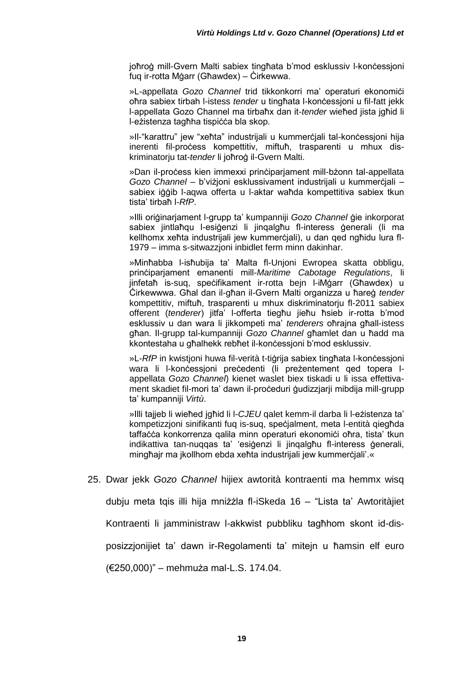joħroġ mill-Gvern Malti sabiex tingħata b'mod esklussiv l-konċessjoni fuq ir-rotta Mġarr (Għawdex) – Ċirkewwa.

»L-appellata *Gozo Channel* trid tikkonkorri ma' operaturi ekonomiċi oħra sabiex tirbah l-istess *tender* u tingħata l-konċessjoni u fil-fatt jekk l-appellata Gozo Channel ma tirbaħx dan it-*tender* wieħed jista jgħid li l-eżistenza tagħha tispiċċa bla skop.

»Il-"karattru" jew "xeħta" industrijali u kummerċjali tal-konċessjoni hija inerenti fil-process kompettitiv, miftuh, trasparenti u mhux diskriminatorju tat-*tender* li joħroġ il-Gvern Malti.

»Dan il-proċess kien immexxi prinċiparjament mill-bżonn tal-appellata *Gozo Channel* – b'viżjoni esklussivament industrijali u kummerċjali – sabiex iġġib l-aqwa offerta u l-aktar waħda kompettitiva sabiex tkun tista' tirbaħ l-*RfP*.

»Illi oriġinarjament l-grupp ta' kumpanniji *Gozo Channel* ġie inkorporat sabiex jintlaħqu l-esiġenzi li jinqalgħu fl-interess ġenerali (li ma kellhomx xeħta industrijali jew kummerċjali), u dan qed ngħidu lura fl-1979 – imma s-sitwazzjoni inbidlet ferm minn dakinhar.

»Minħabba l-isħubija ta' Malta fl-Unjoni Ewropea skatta obbligu, prinċiparjament emanenti mill-*Maritime Cabotage Regulations*, li jinfetaħ is-sug, speċifikament ir-rotta bein l-iMġarr (Għawdex) u Ċirkewwwa. Għal dan il-għan il-Gvern Malti organizza u ħareġ *tender*  kompettitiv, miftuħ, trasparenti u mhux diskriminatoriu fl-2011 sabiex offerent (*tenderer*) jitfa' l-offerta tiegħu jieħu ħsieb ir-rotta b'mod esklussiv u dan wara li jikkompeti ma' *tenderers* oħrajna għall-istess għan. Il-grupp tal-kumpanniji *Gozo Channel* għamlet dan u ħadd ma kkontestaha u għalhekk rebħet il-konċessjoni b'mod esklussiv.

»L-*RfP* in kwistjoni huwa fil-verità t-tiġrija sabiex tingħata l-konċessjoni wara li l-konċessjoni preċedenti (li preżentement qed topera lappellata *Gozo Channel*) kienet waslet biex tiskadi u li issa effettivament skadiet fil-mori ta' dawn il-proċeduri ġudizzjarji mibdija mill-grupp ta' kumpanniji *Virtù*.

»Illi tajjeb li wieħed jgħid li l-*CJEU* qalet kemm-il darba li l-eżistenza ta' kompetizzjoni sinifikanti fuq is-suq, speċjalment, meta l-entità qiegħda taffaċċa konkorrenza qalila minn operaturi ekonomiċi oħra, tista' tkun indikattiva tan-nuqqas ta' 'esiġenzi li jinqalgħu fl-interess ġenerali, mingħajr ma jkollhom ebda xeħta industrijali jew kummerċjali'.«

25. Dwar jekk *Gozo Channel* hijiex awtorità kontraenti ma hemmx wisq

dubju meta tqis illi hija mniżżla fl-iSkeda 16 – "Lista ta' Awtoritàjiet

Kontraenti li jamministraw l-akkwist pubbliku tagħhom skont id-dis-

posizzjonijiet ta' dawn ir-Regolamenti ta' mitejn u ħamsin elf euro

(€250,000)" – mehmuża mal-L.S. 174.04.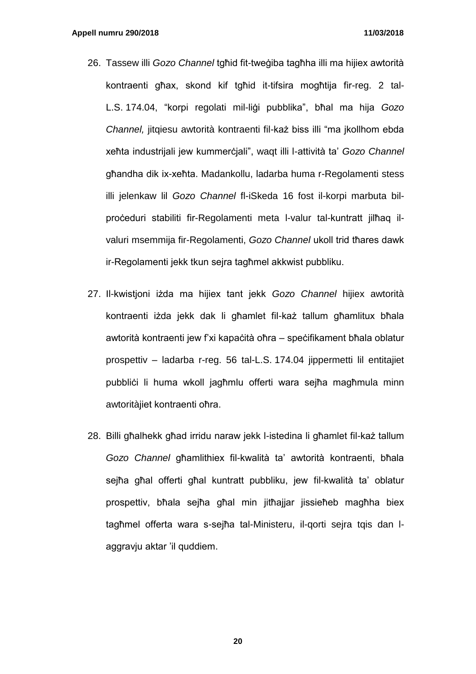- 26. Tassew illi *Gozo Channel* tgħid fit-tweġiba tagħha illi ma hijiex awtorità kontraenti għax, skond kif tgħid it-tifsira mogħtija fir-reg. 2 tal-L.S. 174.04, "korpi regolati mil-liġi pubblika", bħal ma hija *Gozo Channel,* jitqiesu awtorità kontraenti fil-każ biss illi "ma jkollhom ebda xeħta industrijali jew kummerċjali", waqt illi l-attività ta' *Gozo Channel*  għandha dik ix-xeħta. Madankollu, ladarba huma r-Regolamenti stess illi jelenkaw lil *Gozo Channel* fl-iSkeda 16 fost il-korpi marbuta bilproċeduri stabiliti fir-Regolamenti meta l-valur tal-kuntratt jilħaq ilvaluri msemmija fir-Regolamenti, *Gozo Channel* ukoll trid tħares dawk ir-Regolamenti jekk tkun sejra tagħmel akkwist pubbliku.
- 27. Il-kwistjoni iżda ma hijiex tant jekk *Gozo Channel* hijiex awtorità kontraenti iżda jekk dak li għamlet fil-każ tallum għamlitux bħala awtorità kontraenti jew f'xi kapaċità oħra – speċifikament bħala oblatur prospettiv – ladarba r-reg. 56 tal-L.S. 174.04 jippermetti lil entitajiet pubblići li huma wkoll jagħmlu offerti wara sejħa magħmula minn awtoritàjiet kontraenti oħra.
- 28. Billi għalhekk għad irridu naraw jekk l-istedina li għamlet fil-każ tallum *Gozo Channel* għamlithiex fil-kwalità ta' awtorità kontraenti, bħala sejħa għal offerti għal kuntratt pubbliku, jew fil-kwalità ta' oblatur prospettiv, bħala sejħa għal min jitħajjar jissieħeb magħha biex tagħmel offerta wara s-sejħa tal-Ministeru, il-qorti sejra tqis dan laggravju aktar 'il quddiem.

**20**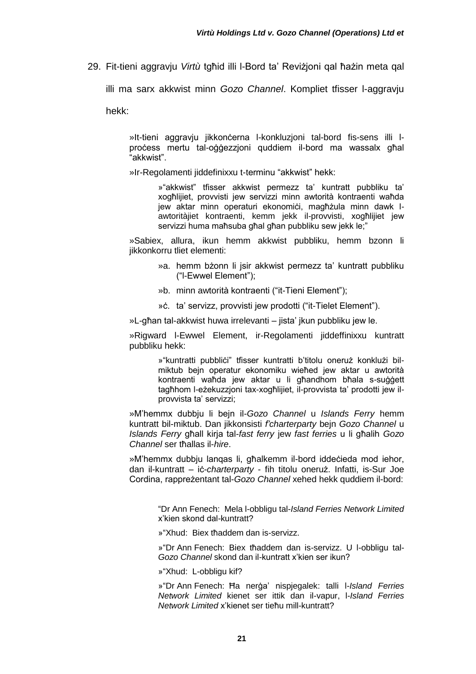29. Fit-tieni aggravju *Virtù* tgħid illi l-Bord ta' Reviżjoni qal ħażin meta qal

illi ma sarx akkwist minn *Gozo Channel*. Kompliet tfisser l-aggravju

hekk:

»It-tieni aggravju jikkonċerna l-konkluzjoni tal-bord fis-sens illi lproċess mertu tal-oġġezzjoni quddiem il-bord ma wassalx għal "akkwist".

»Ir-Regolamenti jiddefinixxu t-terminu "akkwist" hekk:

»"akkwist" tfisser akkwist permezz ta' kuntratt pubbliku ta' xogħlijiet, provvisti jew servizzi minn awtorità kontraenti waħda jew aktar minn operaturi ekonomici, magħżula minn dawk Iawtoritàjiet kontraenti, kemm jekk il-provvisti, xogħlijiet jew servizzi huma maħsuba għal għan pubbliku sew jekk le;"

»Sabiex, allura, ikun hemm akkwist pubbliku, hemm bzonn li jikkonkorru tliet elementi:

- »a. hemm bżonn li jsir akkwist permezz ta' kuntratt pubbliku ("l-Ewwel Element");
- »b. minn awtorità kontraenti ("it-Tieni Element");
- »ċ. ta' servizz, provvisti jew prodotti ("it-Tielet Element").

»L-għan tal-akkwist huwa irrelevanti – jista' ikun pubbliku jew le.

»Rigward l-Ewwel Element, ir-Regolamenti jiddeffinixxu kuntratt pubbliku hekk:

> »"kuntratti pubbliċi" tfisser kuntratti b'titolu oneruż konklużi bilmiktub bejn operatur ekonomiku wieħed jew aktar u awtorità kontraenti waħda jew aktar u li għandhom bħala s-suġġett tagħhom l-eżekuzzjoni tax-xogħlijiet, il-provvista ta' prodotti jew ilprovvista ta' servizzi;

»M'hemmx dubbju li bejn il-*Gozo Channel* u *Islands Ferry* hemm kuntratt bil-miktub. Dan jikkonsisti *f'charterparty* bejn *Gozo Channel* u *Islands Ferry* għall kirja tal-*fast ferry* jew *fast ferries* u li għalih *Gozo Channel* ser tħallas il-*hire*.

»M'hemmx dubbju lanqas li, għalkemm il-bord iddeċieda mod iehor, dan il-kuntratt – iċ-*charterparty* - fih titolu oneruż. Infatti, is-Sur Joe Cordina, rappreżentant tal-*Gozo Channel* xehed hekk quddiem il-bord:

> "Dr Ann Fenech: Mela l-obbligu tal-*Island Ferries Network Limited* x'kien skond dal-kuntratt?

»"Xhud: Biex tħaddem dan is-servizz.

»"Dr Ann Fenech: Biex tħaddem dan is-servizz. U l-obbligu tal-*Gozo Channel* skond dan il-kuntratt x'kien ser ikun?

»"Xhud: L-obbligu kif?

»"Dr Ann Fenech: Ħa nerġa' nispjegalek: talli l-*Island Ferries Network Limited* kienet ser ittik dan il-vapur, l-*Island Ferries Network Limited* x'kienet ser tieħu mill-kuntratt?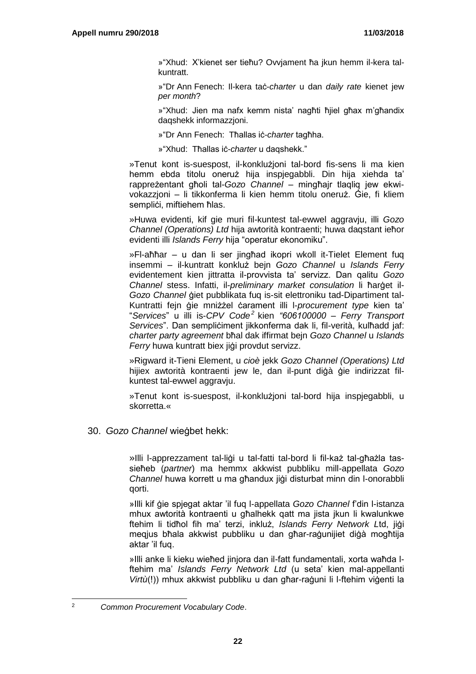»"Xhud: X'kienet ser tieħu? Ovvjament ħa jkun hemm il-kera talkuntratt.

»"Dr Ann Fenech: Il-kera taċ-*charter* u dan *daily rate* kienet jew *per month*?

»"Xhud: Jien ma nafx kemm nista' nagħti ħjiel għax m'għandix daqshekk informazzjoni.

»"Dr Ann Fenech: Tħallas iċ-*charter* tagħha.

»"Xhud: Tħallas iċ-*charter* u daqshekk."

»Tenut kont is-suespost, il-konklużjoni tal-bord fis-sens li ma kien hemm ebda titolu oneruż hija inspjegabbli. Din hija xiehda ta' rappreżentant għoli tal-*Gozo Channel* – mingħajr tlaqliq jew ekwivokazzjoni – li tikkonferma li kien hemm titolu oneruż. Ġie, fi kliem semplici, miftiehem ħlas.

»Huwa evidenti, kif gie muri fil-kuntest tal-ewwel aggravju, illi *Gozo Channel (Operations) Ltd* hija awtorità kontraenti; huwa daqstant ieħor evidenti illi *Islands Ferry* hija "operatur ekonomiku".

»Fl-aħħar – u dan li ser jingħad ikopri wkoll it-Tielet Element fuq insemmi – il-kuntratt konkluż bejn *Gozo Channel* u *Islands Ferry* evidentement kien jittratta il-provvista ta' servizz. Dan qalitu *Gozo Channel* stess. Infatti, il-*preliminary market consulation* li ħarġet il-*Gozo Channel* ġiet pubblikata fuq is-sit elettroniku tad-Dipartiment tal-Kuntratti fejn ġie mniżżel ċarament illi l-*procurement type* kien ta' "*Services*" u illi is-*CPV Code<sup>2</sup>* kien *"606100000 – Ferry Transport*  Services". Dan sempliċiment jikkonferma dak li, fil-verità, kulħadd jaf: *charter party agreement* bħal dak iffirmat bejn *Gozo Channel* u *Islands Ferry* huwa kuntratt biex jiġi provdut servizz.

»Rigward it-Tieni Element, u *cioè* jekk *Gozo Channel (Operations) Ltd* hijiex awtorità kontraenti jew le, dan il-punt diġà ġie indirizzat filkuntest tal-ewwel aggravju.

»Tenut kont is-suespost, il-konklużjoni tal-bord hija inspjegabbli, u skorretta.«

30. *Gozo Channel* wieġbet hekk:

»Illi l-apprezzament tal-liġi u tal-fatti tal-bord li fil-każ tal-għażla tassieħeb (*partner*) ma hemmx akkwist pubbliku mill-appellata *Gozo Channel* huwa korrett u ma għandux jiġi disturbat minn din l-onorabbli qorti.

»Illi kif ġie spjegat aktar 'il fuq l-appellata *Gozo Channel* f'din l-istanza mhux awtorità kontraenti u għalhekk qatt ma jista jkun li kwalunkwe ftehim li tidħol fih ma' terzi, inkluż, *Islands Ferry Network L*td, jiġi meqjus bħala akkwist pubbliku u dan għar-raġunijiet diġà mogħtija aktar 'il fuq.

»Illi anke li kieku wieħed jinjora dan il-fatt fundamentali, xorta waħda lftehim ma' *Islands Ferry Network Ltd* (u seta' kien mal-appellanti *Virtù*(!)) mhux akkwist pubbliku u dan għar-raġuni li l-ftehim viġenti la

l

<sup>2</sup> *Common Procurement Vocabulary Code*.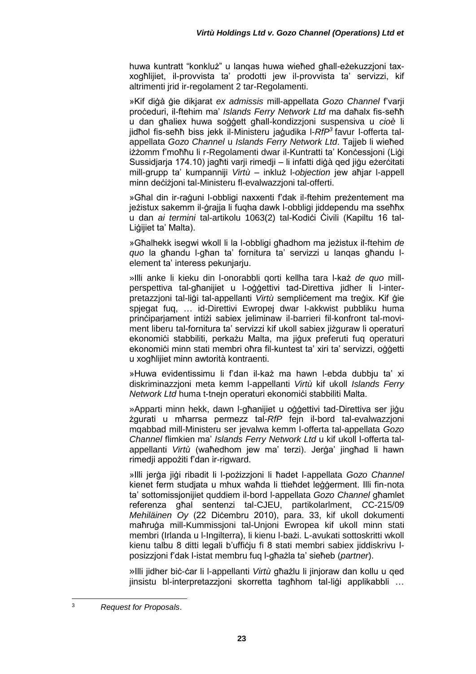huwa kuntratt "konkluż" u lanqas huwa wieħed għall-eżekuzzjoni taxxogħlijiet, il-provvista ta' prodotti jew il-provvista ta' servizzi, kif altrimenti irid ir-regolament 2 tar-Regolamenti.

»Kif diġà ġie dikjarat *ex admissis* mill-appellata *Gozo Channel* f'varji proċeduri, il-ftehim ma' *Islands Ferry Network Ltd* ma daħalx fis-seħħ u dan għaliex huwa soġġett għall-kondizzjoni suspensiva u *cioè* li jidħol fis-seħħ biss jekk il-Ministeru jaġudika l-*RfP<sup>3</sup>* favur l-offerta talappellata *Gozo Channel* u *Islands Ferry Network Ltd*. Tajjeb li wieħed iżżomm f'moħħu li r-Regolamenti dwar il-Kuntratti ta' Konċessjoni (Liġi Sussidjarja 174.10) jagħti varji rimedji – li infatti diġà ged jiġu eżerċitati mill-grupp ta' kumpanniji *Virtù* – inkluż l-*objection* jew aħjar l-appell minn deċiżjoni tal-Ministeru fl-evalwazzjoni tal-offerti.

»Għal din ir-raġuni l-obbligi naxxenti f'dak il-ftehim preżentement ma jeżistux sakemm il-ġrajja li fuqha dawk l-obbligi jiddependu ma sseħħx u dan *ai termini* tal-artikolu 1063(2) tal-Kodiċi Ċivili (Kapiltu 16 tal-Liġijiet ta' Malta).

»Għalhekk isegwi wkoll li la l-obbligi għadhom ma jeżistux il-ftehim *de quo* la għandu l-għan ta' fornitura ta' servizzi u lanqas għandu lelement ta' interess pekunjarju.

»Illi anke li kieku din l-onorabbli qorti kellha tara l-każ *de quo* millperspettiva tal-għanijiet u l-oġġettivi tad-Direttiva jidher li l-interpretazzioni tal-ligi tal-appellanti *Virtù* semplicement ma tregix. Kif gie spjegat fuq, … id-Direttivi Ewropej dwar l-akkwist pubbliku huma prinċiparjament intiżi sabiex jeliminaw il-barrieri fil-konfront tal-moviment liberu tal-fornitura ta' servizzi kif ukoll sabiex jiżguraw li operaturi ekonomići stabbiliti, perkażu Malta, ma jigux preferuti fug operaturi ekonomiċi minn stati membri oħra fil-kuntest ta' xiri ta' servizzi, oġġetti u xogħlijiet minn awtorità kontraenti.

»Huwa evidentissimu li f'dan il-każ ma hawn l-ebda dubbju ta' xi diskriminazzjoni meta kemm l-appellanti *Virtù* kif ukoll *Islands Ferry Network Ltd* huma t-tnejn operaturi ekonomici stabbiliti Malta.

»Apparti minn hekk, dawn l-għanijiet u oġġettivi tad-Direttiva ser jiġu żgurati u mħarrsa permezz tal-*RfP* fejn il-bord tal-evalwazzjoni mqabbad mill-Ministeru ser jevalwa kemm l-offerta tal-appellata *Gozo Channel* flimkien ma' *Islands Ferry Network Ltd* u kif ukoll l-offerta talappellanti *Virtù* (waħedhom jew ma' terzi). Jerġa' jingħad li hawn rimedji appożiti f'dan ir-rigward.

»Illi jerġa jiġi ribadit li l-pożizzjoni li ħadet l-appellata *Gozo Channel*  kienet ferm studjata u mhux waħda li ttieħdet leġġerment. Illi fin-nota ta' sottomissjonijiet quddiem il-bord l-appellata *Gozo Channel* għamlet referenza għal sentenzi tal-CJEU, partikolarlment, *C*C-215/09 *Mehiläinen Oy* (22 Diċembru 2010), para. 33, kif ukoll dokumenti maħruġa mill-Kummissjoni tal-Unjoni Ewropea kif ukoll minn stati membri (Irlanda u l-Ingilterra), li kienu l-bażi. L-avukati sottoskritti wkoll kienu talbu 8 ditti legali b'ufficiu fi 8 stati membri sabiex jiddiskrivu lposizzjoni f'dak l-istat membru fuq l-għażla ta' sieħeb (*partner*).

»Illi jidher biċ-ċar li l-appellanti *Virtù* għażlu li jinjoraw dan kollu u qed jinsistu bl-interpretazzioni skorretta tagħhom tal-liġi applikabbli ...

l

<sup>3</sup> *Request for Proposals*.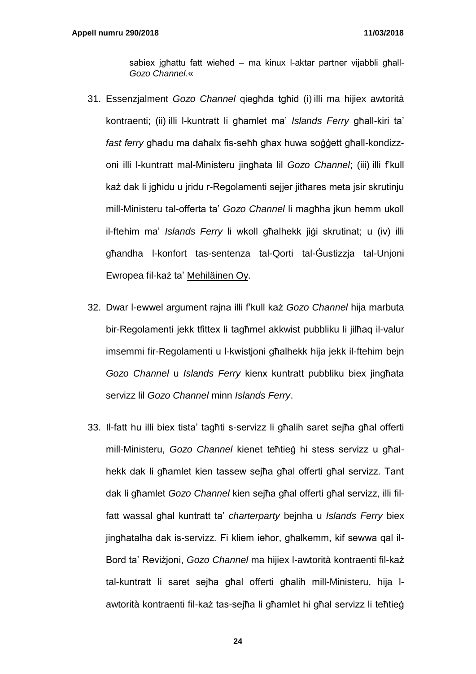sabiex jgħattu fatt wieħed – ma kinux l-aktar partner vijabbli għall-*Gozo Channel*.«

- 31. Essenzjalment *Gozo Channel* qiegħda tgħid (i) illi ma hijiex awtorità kontraenti; (ii) illi l-kuntratt li għamlet ma' *Islands Ferry* għall-kiri ta' *fast ferry* għadu ma daħalx fis-seħħ għax huwa soġġett għall-kondizzoni illi l-kuntratt mal-Ministeru jingħata lil *Gozo Channel*; (iii) illi f'kull każ dak li jgħidu u jridu r-Regolamenti sejjer jitħares meta jsir skrutinju mill-Ministeru tal-offerta ta' *Gozo Channel* li magħha jkun hemm ukoll il-ftehim ma' *Islands Ferry* li wkoll għalhekk jiġi skrutinat; u (iv) illi għandha l-konfort tas-sentenza tal-Qorti tal-Ġustizzja tal-Unjoni Ewropea fil-każ ta' Mehiläinen Oy.
- 32. Dwar l-ewwel argument rajna illi f'kull każ *Gozo Channel* hija marbuta bir-Regolamenti jekk tfittex li tagħmel akkwist pubbliku li jilħaq il-valur imsemmi fir-Regolamenti u l-kwistjoni għalhekk hija jekk il-ftehim bejn *Gozo Channel* u *Islands Ferry* kienx kuntratt pubbliku biex jingħata servizz lil *Gozo Channel* minn *Islands Ferry*.
- 33. Il-fatt hu illi biex tista' tagħti s-servizz li għalih saret sejħa għal offerti mill-Ministeru, *Gozo Channel* kienet teħtieġ hi stess servizz u għalhekk dak li għamlet kien tassew sejħa għal offerti għal servizz. Tant dak li għamlet *Gozo Channel* kien sejħa għal offerti għal servizz, illi filfatt wassal għal kuntratt ta' *charterparty* bejnha u *Islands Ferry* biex jingħatalha dak is-servizz*.* Fi kliem ieħor, għalkemm, kif sewwa qal il-Bord ta' Reviżjoni, *Gozo Channel* ma hijiex l-awtorità kontraenti fil-każ tal-kuntratt li saret sejħa għal offerti għalih mill-Ministeru, hija lawtorità kontraenti fil-każ tas-sejħa li għamlet hi għal servizz li teħtieġ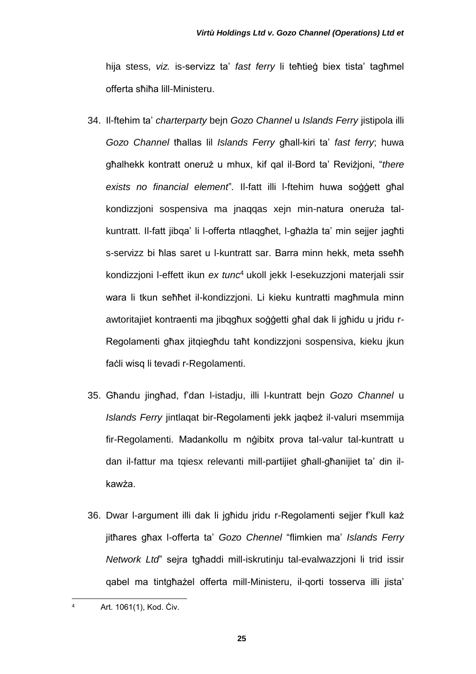hija stess, *viz.* is-servizz ta' *fast ferry* li teħtieġ biex tista' tagħmel offerta sħiħa lill-Ministeru.

- 34. Il-ftehim ta' *charterparty* bejn *Gozo Channel* u *Islands Ferry* jistipola illi *Gozo Channel* tħallas lil *Islands Ferry* għall-kiri ta' *fast ferry*; huwa għalhekk kontratt oneruż u mhux, kif qal il-Bord ta' Reviżjoni, "*there exists no financial element*"*.* Il-fatt illi l-ftehim huwa soġġett għal kondizzjoni sospensiva ma jnaqqas xejn min-natura oneruża talkuntratt. Il-fatt jibqa' li l-offerta ntlaqgħet, l-għażla ta' min sejjer jagħti s-servizz bi ħlas saret u l-kuntratt sar. Barra minn hekk, meta sseħħ kondizzjoni l-effett ikun *ex tunc*<sup>4</sup> ukoll jekk l-esekuzzjoni materjali ssir wara li tkun seħħet il-kondizzjoni. Li kieku kuntratti magħmula minn awtoritajiet kontraenti ma jibqgħux soġġetti għal dak li jgħidu u jridu r-Regolamenti għax jitqiegħdu taħt kondizzjoni sospensiva, kieku jkun faċli wisq li tevadi r-Regolamenti.
- 35. Għandu jingħad, f'dan l-istadju, illi l-kuntratt bejn *Gozo Channel* u *Islands Ferry* jintlaqat bir-Regolamenti jekk jaqbeż il-valuri msemmija fir-Regolamenti. Madankollu m nġibitx prova tal-valur tal-kuntratt u dan il-fattur ma tqiesx relevanti mill-partijiet għall-għanijiet ta' din ilkawża.
- 36. Dwar l-argument illi dak li jgħidu jridu r-Regolamenti sejjer f'kull każ jitħares għax l-offerta ta' *Gozo Chennel* "flimkien ma' *Islands Ferry Network Ltd*" sejra tgħaddi mill-iskrutinju tal-evalwazzjoni li trid issir qabel ma tintgħażel offerta mill-Ministeru, il-qorti tosserva illi jista'

 $\overline{4}$ Art. 1061(1), Kod. Civ.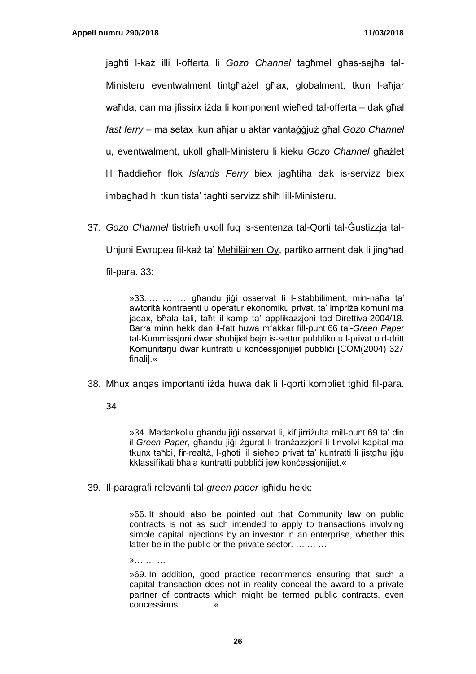jagħti l-każ illi l-offerta li *Gozo Channel* tagħmel għas-sejħa tal-Ministeru eventwalment tintgħażel għax, globalment, tkun l-aħjar waħda; dan ma jfissirx iżda li komponent wieħed tal-offerta – dak għal *fast ferry* – ma setax ikun aħjar u aktar vantaġġjuż għal *Gozo Channel*  u, eventwalment, ukoll għall-Ministeru li kieku *Gozo Channel* għażlet lil ħaddieħor flok *Islands Ferry* biex jagħtiha dak is-servizz biex imbagħad hi tkun tista' tagħti servizz sħiħ lill-Ministeru.

37. *Gozo Channel* tistrieħ ukoll fuq is-sentenza tal-Qorti tal-Ġustizzja tal-Unjoni Ewropea fil-każ ta' Mehiläinen Oy, partikolarment dak li jingħad fil-para. 33:

> »33. … … … għandu jiġi osservat li l-istabbiliment, min-naħa ta' awtorità kontraenti u operatur ekonomiku privat, ta' impriża komuni ma jaqax, bħala tali, taħt il-kamp ta' applikazzjoni tad-Direttiva 2004/18. Barra minn hekk dan il-fatt huwa mfakkar fill-punt 66 tal-*Green Paper* tal-Kummissjoni dwar sħubijiet bejn is-settur pubbliku u l-privat u d-dritt Komunitarju dwar kuntratti u konċessjonijiet pubblići [COM(2004) 327 finali].«

38. Mhux anqas importanti iżda huwa dak li l-qorti kompliet tgħid fil-para.

34:

»34. Madankollu għandu jiġi osservat li, kif jirriżulta mill-punt 69 ta' din il-*Green Paper*, għandu jiġi żgurat li tranżazzjoni li tinvolvi kapital ma tkunx taħbi, fir-realtà, l-għoti lil sieħeb privat ta' kuntratti li jistgħu jiġu kklassifikati bħala kuntratti pubblici jew konċessionijiet.«

39. Il-paragrafi relevanti tal-*green paper* igħidu hekk:

»66. It should also be pointed out that Community law on public contracts is not as such intended to apply to transactions involving simple capital injections by an investor in an enterprise, whether this latter be in the public or the private sector. … … …

»… … …

»69. In addition, good practice recommends ensuring that such a capital transaction does not in reality conceal the award to a private partner of contracts which might be termed public contracts, even concessions. … … …«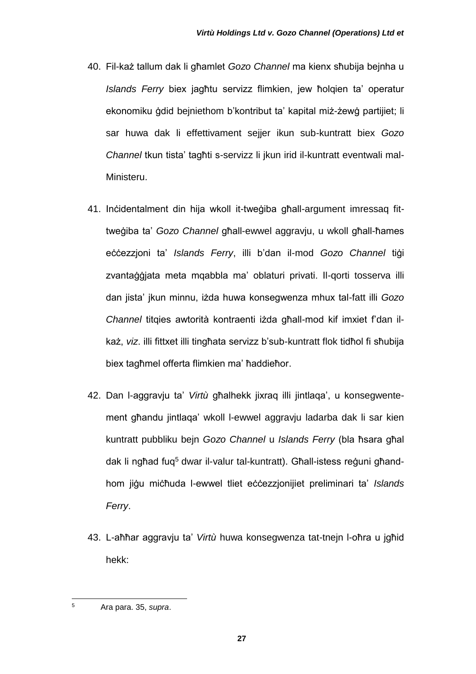- 40. Fil-każ tallum dak li għamlet *Gozo Channel* ma kienx sħubija bejnha u *Islands Ferry* biex jagħtu servizz flimkien, jew ħolqien ta' operatur ekonomiku ġdid bejniethom b'kontribut ta' kapital miż-żewġ partijiet; li sar huwa dak li effettivament sejjer ikun sub-kuntratt biex *Gozo Channel* tkun tista' tagħti s-servizz li jkun irid il-kuntratt eventwali mal-Ministeru.
- 41. Inċidentalment din hija wkoll it-tweġiba għall-argument imressaq fittweġiba ta' *Gozo Channel* għall-ewwel aggravju, u wkoll għall-ħames eċċezzjoni ta' *Islands Ferry*, illi b'dan il-mod *Gozo Channel* tiġi zvantaġġjata meta mqabbla ma' oblaturi privati. Il-qorti tosserva illi dan jista' jkun minnu, iżda huwa konsegwenza mhux tal-fatt illi *Gozo Channel* titqies awtorità kontraenti iżda għall-mod kif imxiet f'dan ilkaż, *viz*. illi fittxet illi tingħata servizz b'sub-kuntratt flok tidħol fi sħubija biex tagħmel offerta flimkien ma' ħaddieħor.
- 42. Dan l-aggravju ta' *Virtù* għalhekk jixraq illi jintlaqa', u konsegwentement għandu jintlaqa' wkoll l-ewwel aggravju ladarba dak li sar kien kuntratt pubbliku bejn *Gozo Channel* u *Islands Ferry* (bla ħsara għal dak li ngħad fuq<sup>5</sup> dwar il-valur tal-kuntratt). Għall-istess reġuni għandhom jiġu miċħuda l-ewwel tliet eċċezzjonijiet preliminari ta' *Islands Ferry*.
- 43. L-aħħar aggravju ta' *Virtù* huwa konsegwenza tat-tnejn l-oħra u jgħid hekk:

l

<sup>5</sup> Ara para. 35, *supra*.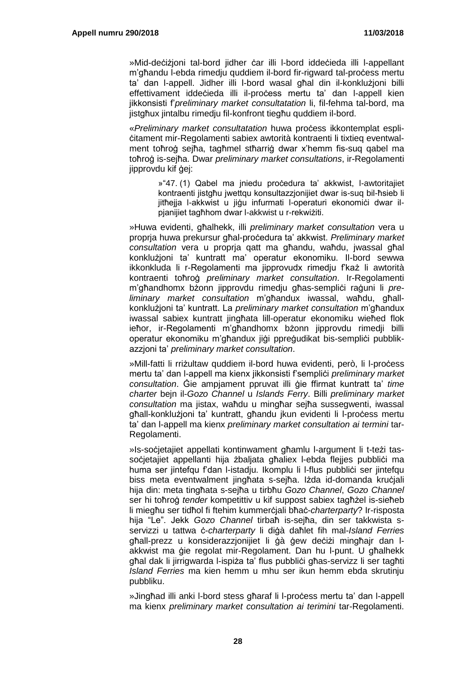»Mid-deċiżjoni tal-bord jidher ċar illi l-bord iddeċieda illi l-appellant m'għandu l-ebda rimedju quddiem il-bord fir-rigward tal-process mertu ta' dan l-appell. Jidher illi l-bord wasal għal din il-konklużjoni billi effettivament iddeċieda illi il-proċess mertu ta' dan l-appell kien jikkonsisti f'*preliminary market consultatation* li, fil-fehma tal-bord, ma jistgħux jintalbu rimedju fil-konfront tiegħu quddiem il-bord.

«*Preliminary market consultatation* huwa proċess ikkontemplat espliċitament mir-Regolamenti sabiex awtorità kontraenti li tixtieq eventwalment toħroġ sejħa, tagħmel stħarriġ dwar x'hemm fis-suq qabel ma toħroġ is-sejħa. Dwar *preliminary market consultations*, ir-Regolamenti jipprovdu kif ġej:

> »"47. (1) Qabel ma jniedu proċedura ta' akkwist, l-awtoritajiet kontraenti jistgħu jwettqu konsultazzjonijiet dwar is-suq bil-ħsieb li jitħejja l-akkwist u jiġu infurmati l-operaturi ekonomiċi dwar ilpjanijiet tagħhom dwar l-akkwist u r-rekwiżiti.

»Huwa evidenti, għalhekk, illi *preliminary market consultation* vera u proprja huwa prekursur għal-proċedura ta' akkwist. *Preliminary market consultation* vera u proprja qatt ma għandu, waħdu, jwassal għal konklużjoni ta' kuntratt ma' operatur ekonomiku. Il-bord sewwa ikkonkluda li r-Regolamenti ma jipprovudx rimedju f'każ li awtorità kontraenti toħroġ *preliminary market consultation*. Ir-Regolamenti m'għandhomx bżonn jipprovdu rimedju għas-sempliċi raġuni li *preliminary market consultation* m'għandux iwassal, waħdu, għallkonklużjoni ta' kuntratt. La *preliminary market consultation* m'għandux iwassal sabiex kuntratt jingħata lill-operatur ekonomiku wieħed flok ieħor, ir-Regolamenti m'għandhomx bżonn jipprovdu rimedji billi operatur ekonomiku m'għandux jiġi ppreġudikat bis-sempliċi pubblikazzjoni ta' *preliminary market consultation*.

»Mill-fatti li rriżultaw quddiem il-bord huwa evidenti, però, li l-process mertu ta' dan l-appell ma kienx jikkonsisti f'sempliċi *preliminary market consultation*. Ġie ampjament ppruvat illi ġie ffirmat kuntratt ta' *time charter* bejn il-*Gozo Channel* u *Islands Ferry*. Billi *preliminary market consultation* ma jistax, waħdu u mingħar sejħa sussegwenti, iwassal għall-konklużjoni ta' kuntratt, għandu jkun evidenti li l-proċess mertu ta' dan l-appell ma kienx *preliminary market consultation ai termini* tar-Regolamenti.

»Is-soċjetajiet appellati kontinwament għamlu l-argument li t-teżi tassoċjetajiet appellanti hija żbaljata għaliex l-ebda flejjes pubbliċi ma huma ser jintefqu f'dan l-istadju. Ikomplu li l-flus pubblici ser jintefqu biss meta eventwalment jingħata s-sejħa. Iżda id-domanda kruċjali hija din: meta tingħata s-sejħa u tirbħu *Gozo Channel*, *Gozo Channel* ser hi toħroġ *tender* kompetittiv u kif suppost sabiex tagħżel is-sieħeb li miegħu ser tidħol fi ftehim kummerċjali bħaċ-*charterparty*? Ir-risposta hija "Le". Jekk *Gozo Channel* tirbaħ is-sejħa, din ser takkwista sservizzi u tattwa ċ-*charterparty* li diġà daħlet fih mal-*Island Ferries* għall-prezz u konsiderazzjonijiet li ġà ġew deċiżi mingħajr dan lakkwist ma ġie regolat mir-Regolament. Dan hu l-punt. U għalhekk għal dak li jirrigwarda l-ispiża ta' flus pubblici għas-servizz li ser tagħti *Island Ferries* ma kien hemm u mhu ser ikun hemm ebda skrutinju pubbliku.

»Jingħad illi anki l-bord stess għaraf li l-proċess mertu ta' dan l-appell ma kienx *preliminary market consultation ai terimini* tar-Regolamenti.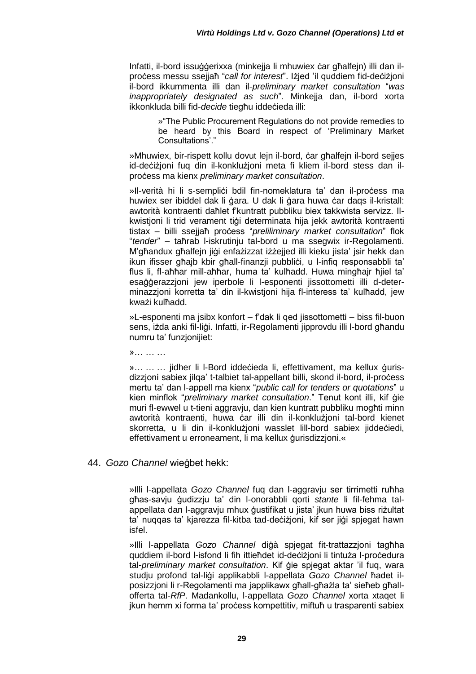Infatti, il-bord issuġġerixxa (minkejia li mhuwiex ċar għalfein) illi dan ilprocess messu ssejjaħ "*call for interest*". Iżjed 'il quddiem fid-deciżjoni il-bord ikkummenta illi dan il-*preliminary market consultation* "*was inappropriately designated as such*". Minkejja dan, il-bord xorta ikkonkluda billi fid-*decide* tiegħu iddeċieda illi:

> »"The Public Procurement Regulations do not provide remedies to be heard by this Board in respect of 'Preliminary Market Consultations'."

»Mhuwiex, bir-rispett kollu dovut lejn il-bord, ċar għalfejn il-bord sejjes id-deċiżjoni fuq din il-konklużjoni meta fi kliem il-bord stess dan ilproċess ma kienx *preliminary market consultation*.

»Il-verità hi li s-semplici bdil fin-nomeklatura ta' dan il-process ma huwiex ser ibiddel dak li ġara. U dak li ġara huwa ċar daqs il-kristall: awtorità kontraenti daħlet f'kuntratt pubbliku biex takkwista servizz. Ilkwistjoni li trid verament tiġi determinata hija jekk awtorità kontraenti tistax – billi ssejjah process "*preliliminary market consultation*" flok "*tender*" – taħrab l-iskrutinju tal-bord u ma ssegwix ir-Regolamenti. M'għandux għalfejn jiġi enfażizzat iżżejjed illi kieku jista' jsir hekk dan ikun ifisser għajb kbir għall-finanzji pubbliċi, u l-infiq responsabbli ta' flus li, fl-aħħar mill-aħħar, huma ta' kulħadd. Huwa mingħajr ħjiel ta' esaġġerazzjoni jew iperbole li l-esponenti jissottometti illi d-determinazzjoni korretta ta' din il-kwistjoni hija fl-interess ta' kulħadd, jew kważi kulħadd.

»L-esponenti ma jsibx konfort – f'dak li qed jissottometti – biss fil-buon sens, iżda anki fil-liġi. Infatti, ir-Regolamenti jipprovdu illi l-bord għandu numru ta' funzjonijiet:

 $\mathcal{V}$ 

»... ... ... jidher li l-Bord iddeċieda li, effettivament, ma kellux ġurisdizzjoni sabiex jilga' t-talbiet tal-appellant billi, skond il-bord, il-process mertu ta' dan l-appell ma kienx "*public call for tenders or quotations*" u kien minflok "*preliminary market consultation*." Tenut kont illi, kif ġie muri fl-ewwel u t-tieni aggraviu, dan kien kuntratt pubbliku moghti minn awtorità kontraenti, huwa ċar illi din il-konklużjoni tal-bord kienet skorretta, u li din il-konklużjoni wasslet lill-bord sabiex jiddeċiedi, effettivament u erroneament, li ma kellux qurisdizzjoni.«

## 44. *Gozo Channel* wieġbet hekk:

»Illi l-appellata *Gozo Channel* fuq dan l-aggravju ser tirrimetti ruħha għas-savju ġudizzju ta' din l-onorabbli qorti *stante* li fil-fehma talappellata dan l-aggravju mhux ġustifikat u jista' jkun huwa biss riżultat ta' nuqqas ta' kjarezza fil-kitba tad-deċiżjoni, kif ser jiġi spjegat hawn isfel.

»Illi l-appellata *Gozo Channel* diġà spjegat fit-trattazzjoni tagħha quddiem il-bord l-isfond li fih ittieħdet id-deċiżjoni li tintuża l-proċedura tal-*preliminary market consultation*. Kif ġie spjegat aktar 'il fuq, wara studju profond tal-liġi applikabbli l-appellata *Gozo Channel* ħadet ilposizzjoni li r-Regolamenti ma japplikawx għall-għażla ta' sieħeb għallofferta tal-*RfP*. Madankollu, l-appellata *Gozo Channel* xorta xtaqet li jkun hemm xi forma ta' proċess kompettitiv, miftuħ u trasparenti sabiex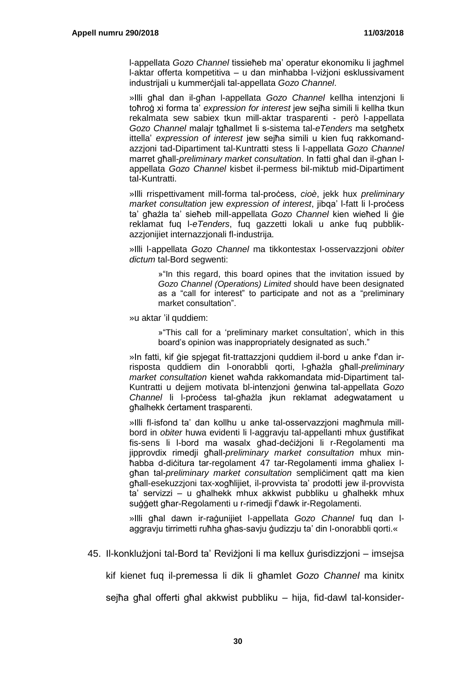l-appellata *Gozo Channel* tissieħeb ma' operatur ekonomiku li jagħmel l-aktar offerta kompetitiva – u dan minħabba l-viżjoni esklussivament industrijali u kummerċjali tal-appellata *Gozo Channel*.

»Illi għal dan il-għan l-appellata *Gozo Channel* kellha intenzjoni li toħroġ xi forma ta' *expression for interest* jew sejħa simili li kellha tkun rekalmata sew sabiex tkun mill-aktar trasparenti - però l-appellata *Gozo Channel* malajr tgħallmet li s-sistema tal-*eTenders* ma setgħetx ittella' *expression of interest* jew sejħa simili u kien fuq rakkomandazzjoni tad-Dipartiment tal-Kuntratti stess li l-appellata *Gozo Channel* marret għall-*preliminary market consultation*. In fatti għal dan il-għan lappellata *Gozo Channel* kisbet il-permess bil-miktub mid-Dipartiment tal-Kuntratti.

»Illi rrispettivament mill-forma tal-proċess, *cioè*, jekk hux *preliminary market consultation* jew *expression of interest*, jibqa' l-fatt li l-process ta' għażla ta' sieħeb mill-appellata *Gozo Channel* kien wieħed li ġie reklamat fuq l-*eTenders*, fuq gazzetti lokali u anke fuq pubblikazzjonijiet internazzjonali fl-industrija.

»Illi l-appellata *Gozo Channel* ma tikkontestax l-osservazzjoni *obiter dictum* tal-Bord segwenti:

> »"In this regard, this board opines that the invitation issued by *Gozo Channel (Operations) Limited* should have been designated as a "call for interest" to participate and not as a "preliminary market consultation".

»u aktar 'il quddiem:

»"This call for a 'preliminary market consultation', which in this board's opinion was inappropriately designated as such."

»In fatti, kif ġie spjegat fit-trattazzjoni quddiem il-bord u anke f'dan irrisposta quddiem din l-onorabbli qorti, l-għażla għall-*preliminary market consultation* kienet waħda rakkomandata mid-Dipartiment tal-Kuntratti u dejjem motivata bl-intenzjoni ġenwina tal-appellata *Gozo Channel* li l-proċess tal-għażla jkun reklamat adegwatament u għalhekk ċertament trasparenti.

»Illi fl-isfond ta' dan kollhu u anke tal-osservazzjoni magħmula millbord in *obiter* huwa evidenti li l-aggravju tal-appellanti mhux ġustifikat fis-sens li l-bord ma wasalx għad-deċiżjoni li r-Regolamenti ma jipprovdix rimedji għall-*preliminary market consultation* mhux minħabba d-diċitura tar-regolament 47 tar-Regolamenti imma għaliex lgħan tal-*preliminary market consultation* sempliċiment qatt ma kien għall-esekuzzjoni tax-xogħlijiet, il-provvista ta' prodotti jew il-provvista ta' servizzi – u għalhekk mhux akkwist pubbliku u għalhekk mhux suġġett għar-Regolamenti u r-rimedji f'dawk ir-Regolamenti.

»Illi għal dawn ir-raġunijiet l-appellata *Gozo Channel* fuq dan laggravju tirrimetti ruħha għas-savju ġudizzju ta' din l-onorabbli qorti.«

45. Il-konklużjoni tal-Bord ta' Reviżjoni li ma kellux ġurisdizzjoni – imsejsa

kif kienet fuq il-premessa li dik li għamlet *Gozo Channel* ma kinitx

sejħa għal offerti għal akkwist pubbliku – hija, fid-dawl tal-konsider-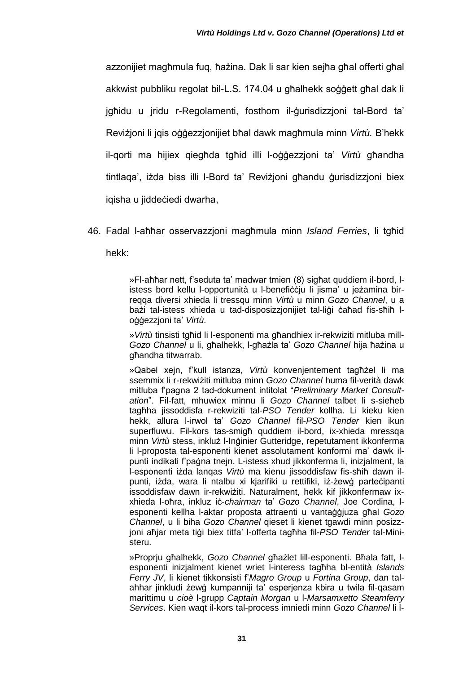azzonijiet magħmula fuq, ħażina. Dak li sar kien sejħa għal offerti għal akkwist pubbliku regolat bil-L.S. 174.04 u għalhekk soġġett għal dak li jgħidu u jridu r-Regolamenti, fosthom il-ġurisdizzjoni tal-Bord ta' Reviżjoni li jqis oġġezzjonijiet bħal dawk magħmula minn *Virtù.* B'hekk il-qorti ma hijiex qiegħda tgħid illi l-oġġezzjoni ta' *Virtù* għandha tintlaqa', iżda biss illi l-Bord ta' Reviżjoni għandu ġurisdizzjoni biex iqisha u jiddeċiedi dwarha,

46. Fadal l-aħħar osservazzjoni magħmula minn *Island Ferries*, li tgħid hekk:

> »Fl-aħħar nett, f'seduta ta' madwar tmien (8) sigħat quddiem il-bord, listess bord kellu l-opportunità u l-benefiċċju li jisma' u jeżamina birreqqa diversi xhieda li tressqu minn *Virtù* u minn *Gozo Channel*, u a bażi tal-istess xhieda u tad-disposizzjonijiet tal-liġi ċaħad fis-sħiħ loġġezzjoni ta' *Virtù*.

> »*Virtù* tinsisti tgħid li l-esponenti ma għandhiex ir-rekwiziti mitluba mill-*Gozo Channel* u li, għalhekk, l-għażla ta' *Gozo Channel* hija ħażina u għandha titwarrab.

> »Qabel xejn, f'kull istanza, *Virtù* konvenjentement tagħżel li ma ssemmix li r-rekwiżiti mitluba minn *Gozo Channel* huma fil-verità dawk mitluba f'pagna 2 tad-dokument intitolat "*Preliminary Market Consultation*". Fil-fatt, mhuwiex minnu li *Gozo Channel* talbet li s-sieħeb tagħha jissoddisfa r-rekwiziti tal-*PSO Tender* kollha. Li kieku kien hekk, allura l-irwol ta' *Gozo Channel* fil-*PSO Tender* kien ikun superfluwu. Fil-kors tas-smigħ quddiem il-bord, ix-xhieda mressqa minn *Virtù* stess, inkluż l-Inġinier Gutteridge, repetutament ikkonferma li l-proposta tal-esponenti kienet assolutament konformi ma' dawk ilpunti indikati f'paġna tnejn. L-istess xhud jikkonferma li, inizjalment, la l-esponenti iżda lanqas *Virtù* ma kienu jissoddisfaw fis-sħiħ dawn ilpunti, iżda, wara li ntalbu xi kjarifiki u rettifiki, iż-żewġ parteċipanti issoddisfaw dawn ir-rekwiżiti. Naturalment, hekk kif jikkonfermaw ixxhieda l-oħra, inkluz iċ-*chairman* ta' *Gozo Channel*, Joe Cordina, lesponenti kellha l-aktar proposta attraenti u vantaġġjuza għal *Gozo Channel*, u li biha *Gozo Channel* qieset li kienet tgawdi minn posizzjoni aħjar meta tiġi biex titfa' l-offerta tagħha fil-*PSO Tender* tal-Ministeru.

> »Proprju għalhekk, *Gozo Channel* għażlet lill-esponenti. Bħala fatt, lesponenti inizjalment kienet wriet l-interess tagħha bl-entità *Islands Ferry JV*, li kienet tikkonsisti f'*Magro Group* u *Fortina Group*, dan talahhar jinkludi żewġ kumpanniji ta' esperjenza kbira u twila fil-qasam marittimu u *cioè* l-grupp *Captain Morgan* u l-*Marsamxetto Steamferry Services*. Kien waqt il-kors tal-process imniedi minn *Gozo Channel* li l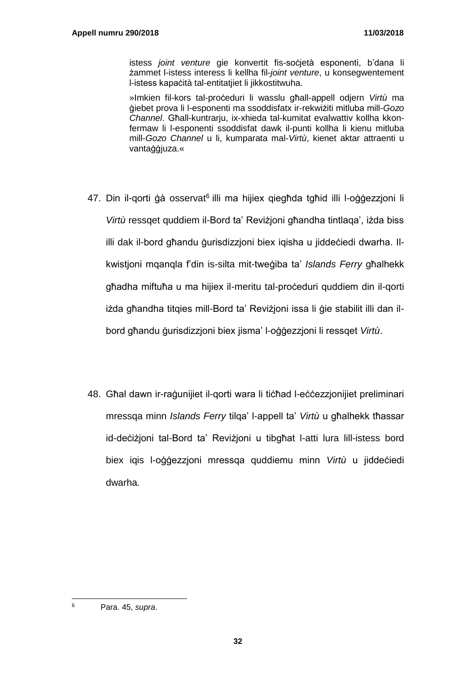istess *joint venture* gie konvertit fis-soċjetà esponenti, b'dana li żammet l-istess interess li kellha fil-*joint venture*, u konsegwentement l-istess kapaċità tal-entitatjiet li jikkostitwuha.

»Imkien fil-kors tal-proċeduri li wasslu għall-appell odjern *Virtù* ma ġiebet prova li l-esponenti ma ssoddisfatx ir-rekwiżiti mitluba mill-*Gozo Channel*. Għall-kuntrarju, ix-xhieda tal-kumitat evalwattiv kollha kkonfermaw li l-esponenti ssoddisfat dawk il-punti kollha li kienu mitluba mill-*Gozo Channel* u li, kumparata mal-*Virtù*, kienet aktar attraenti u vantaġġjuza.«

- 47. Din il-qorti ģà osservat<sup>6</sup> illi ma hijiex qiegħda tgħid illi l-oġġezzjoni li *Virtù* ressqet quddiem il-Bord ta' Reviżjoni għandha tintlaqa', iżda biss illi dak il-bord għandu ġurisdizzjoni biex iqisha u jiddeċiedi dwarha. Ilkwistjoni mqanqla f'din is-silta mit-tweġiba ta' *Islands Ferry* għalhekk għadha miftuħa u ma hijiex il-meritu tal-proċeduri quddiem din il-qorti iżda għandha titqies mill-Bord ta' Reviżjoni issa li ġie stabilit illi dan ilbord għandu ġurisdizzjoni biex jisma' l-oġġezzjoni li ressqet *Virtù*.
- 48. Għal dawn ir-raġunijiet il-qorti wara li tiċħad l-eċċezzjonijiet preliminari mressqa minn *Islands Ferry* tilqa' l-appell ta' *Virtù* u għalhekk tħassar id-deċiżjoni tal-Bord ta' Reviżjoni u tibgħat l-atti lura lill-istess bord biex iqis l-oġġezzjoni mressqa quddiemu minn *Virtù* u jiddeċiedi dwarha*.*

l <sup>6</sup> Para. 45, *supra*.